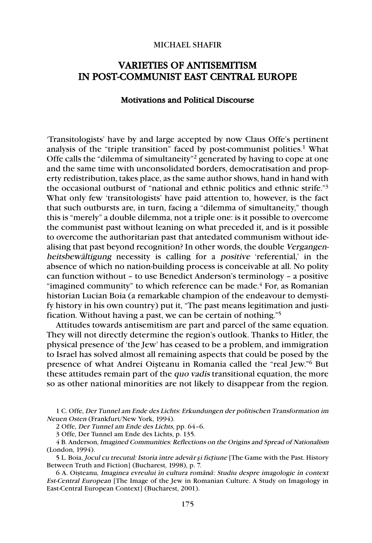## MICHAEL SHAFIR

# VARIETIES OF ANTISEMITISM IN POST-COMMUNIST EAST CENTRAL EUROPE

#### Motivations and Political Discourse

'Transitologists' have by and large accepted by now Claus Offe's pertinent analysis of the "triple transition" faced by post-communist polities.<sup>1</sup> What Offe calls the "dilemma of simultaneity"2 generated by having to cope at one and the same time with unconsolidated borders, democratisation and property redistribution, takes place, as the same author shows, hand in hand with the occasional outburst of "national and ethnic politics and ethnic strife."3 What only few 'transitologists' have paid attention to, however, is the fact that such outbursts are, in turn, facing a "dilemma of simultaneity," though this is "merely" a double dilemma, not a triple one: is it possible to overcome the communist past without leaning on what preceded it, and is it possible to overcome the authoritarian past that antedated communism without idealising that past beyond recognition? In other words, the double Vergangenheitsbewältigung necessity is calling for a positive 'referential,' in the absence of which no nation-building process is conceivable at all. No polity can function without – to use Benedict Anderson's terminology – a positive "imagined community" to which reference can be made. $4$  For, as Romanian historian Lucian Boia (a remarkable champion of the endeavour to demystify history in his own country) put it, "The past means legitimation and justification. Without having a past, we can be certain of nothing."5

Attitudes towards antisemitism are part and parcel of the same equation. They will not directly determine the region's outlook. Thanks to Hitler, the physical presence of 'the Jew' has ceased to be a problem, and immigration to Israel has solved almost all remaining aspects that could be posed by the presence of what Andrei Oişteanu in Romania called the "real Jew."6 But these attitudes remain part of the quo vadis transitional equation, the more so as other national minorities are not likely to disappear from the region.

1 C. Offe, Der Tunnel am Ende des Lichts: Erkundungen der politischen Transformation im Neuen Osten (Frankfurt/New York, 1994).

2 Offe, Der Tunnel am Ende des Lichts, pp. 64–6.

3 Offe, Der Tunnel am Ende des Lichts, p. 135.

4 B. Anderson, Imagined Communities: Reflections on the Origins and Spread of Nationalism (London, 1994).

5 L. Boia, Jocul cu trecutul: Istoria între adev*ă*r *ş*i fic*ţ*iune [The Game with the Past. History Between Truth and Fiction] (Bucharest, 1998), p. 7.

6 A. Oişteanu, Imaginea evreului în cultura român*ă*: Studiu despre imagologie în context Est-Central European [The Image of the Jew in Romanian Culture. A Study on Imagology in East-Central European Context] (Bucharest, 2001).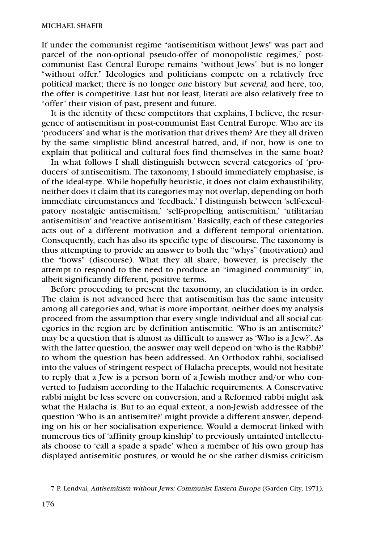If under the communist regime "antisemitism without Jews" was part and parcel of the non-optional pseudo-offer of monopolistic regimes,<sup>7</sup> postcommunist East Central Europe remains "without Jews" but is no longer "without offer." Ideologies and politicians compete on a relatively free political market; there is no longer one history but several, and here, too, the offer is competitive. Last but not least, literati are also relatively free to "offer" their vision of past, present and future.

It is the identity of these competitors that explains, I believe, the resurgence of antisemitism in post-communist East Central Europe. Who are its 'producers' and what is the motivation that drives them? Are they all driven by the same simplistic blind ancestral hatred, and, if not, how is one to explain that political and cultural foes find themselves in the same boat?

In what follows I shall distinguish between several categories of 'producers' of antisemitism. The taxonomy, I should immediately emphasise, is of the ideal-type. While hopefully heuristic, it does not claim exhaustibility, neither does it claim that its categories may not overlap, depending on both immediate circumstances and 'feedback.' I distinguish between 'self-exculpatory nostalgic antisemitism,' 'self-propelling antisemitism,' 'utilitarian antisemitism' and 'reactive antisemitism.' Basically, each of these categories acts out of a different motivation and a different temporal orientation. Consequently, each has also its specific type of discourse. The taxonomy is thus attempting to provide an answer to both the "whys" (motivation) and the "hows" (discourse). What they all share, however, is precisely the attempt to respond to the need to produce an "imagined community" in, albeit significantly different, positive terms.

Before proceeding to present the taxonomy, an elucidation is in order. The claim is not advanced here that antisemitism has the same intensity among all categories and, what is more important, neither does my analysis proceed from the assumption that every single individual and all social categories in the region are by definition antisemitic. 'Who is an antisemite?' may be a question that is almost as difficult to answer as 'Who is a Jew?'. As with the latter question, the answer may well depend on 'who is the Rabbi?' to whom the question has been addressed. An Orthodox rabbi, socialised into the values of stringent respect of Halacha precepts, would not hesitate to reply that a Jew is a person born of a Jewish mother and/or who converted to Judaism according to the Halachic requirements. A Conservative rabbi might be less severe on conversion, and a Reformed rabbi might ask what the Halacha is. But to an equal extent, a non-Jewish addressee of the question 'Who is an antisemite?' might provide a different answer, depending on his or her socialisation experience. Would a democrat linked with numerous ties of 'affinity group kinship' to previously untainted intellectuals choose to 'call a spade a spade' when a member of his own group has displayed antisemitic postures, or would he or she rather dismiss criticism

<sup>7</sup> P. Lendvai, Antisemitism without Jews: Communist Eastern Europe (Garden City, 1971).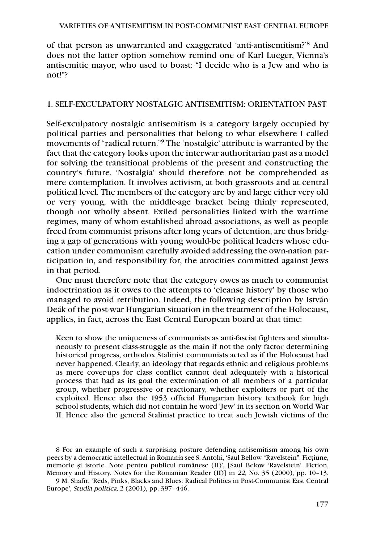of that person as unwarranted and exaggerated 'anti-antisemitism?'8 And does not the latter option somehow remind one of Karl Lueger, Vienna's antisemitic mayor, who used to boast: "I decide who is a Jew and who is not!"?

## 1. SELF-EXCULPATORY NOSTALGIC ANTISEMITISM: ORIENTATION PAST

Self-exculpatory nostalgic antisemitism is a category largely occupied by political parties and personalities that belong to what elsewhere I called movements of "radical return."9 The 'nostalgic' attribute is warranted by the fact that the category looks upon the interwar authoritarian past as a model for solving the transitional problems of the present and constructing the country's future. 'Nostalgia' should therefore not be comprehended as mere contemplation. It involves activism, at both grassroots and at central political level. The members of the category are by and large either very old or very young, with the middle-age bracket being thinly represented, though not wholly absent. Exiled personalities linked with the wartime regimes, many of whom established abroad associations, as well as people freed from communist prisons after long years of detention, are thus bridging a gap of generations with young would-be political leaders whose education under communism carefully avoided addressing the own-nation participation in, and responsibility for, the atrocities committed against Jews in that period.

One must therefore note that the category owes as much to communist indoctrination as it owes to the attempts to 'cleanse history' by those who managed to avoid retribution. Indeed, the following description by István Deák of the post-war Hungarian situation in the treatment of the Holocaust, applies, in fact, across the East Central European board at that time:

Keen to show the uniqueness of communists as anti-fascist fighters and simultaneously to present class-struggle as the main if not the only factor determining historical progress, orthodox Stalinist communists acted as if the Holocaust had never happened. Clearly, an ideology that regards ethnic and religious problems as mere cover-ups for class conflict cannot deal adequately with a historical process that had as its goal the extermination of all members of a particular group, whether progressive or reactionary, whether exploiters or part of the exploited. Hence also the 1953 official Hungarian history textbook for high school students, which did not contain he word 'Jew' in its section on World War II. Hence also the general Stalinist practice to treat such Jewish victims of the

<sup>8</sup> For an example of such a surprising posture defending antisemitism among his own peers by a democratic intellectual in Romania see S. Antohi, 'Saul Bellow "Ravelstein". Ficţiune, memorie şi istorie. Note pentru publicul românesc (II)', [Saul Below 'Ravelstein'. Fiction, Memory and History. Notes for the Romanian Reader (II)] in 22, No. 35 (2000), pp. 10–13.

<sup>9</sup> M. Shafir, 'Reds, Pinks, Blacks and Blues: Radical Politics in Post-Communist East Central Europe', Studia politica, 2 (2001), pp. 397–446.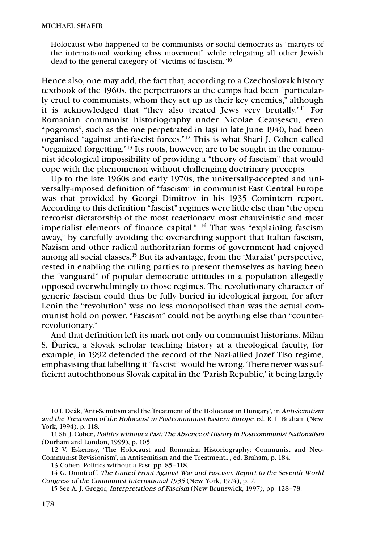Holocaust who happened to be communists or social democrats as "martyrs of the international working class movement" while relegating all other Jewish dead to the general category of "victims of fascism."10

Hence also, one may add, the fact that, according to a Czechoslovak history textbook of the 1960s, the perpetrators at the camps had been "particularly cruel to communists, whom they set up as their key enemies," although it is acknowledged that "they also treated Jews very brutally."11 For Romanian communist historiography under Nicolae Ceauşescu, even "pogroms", such as the one perpetrated in Iaşi in late June 1940, had been organised "against anti-fascist forces."12 This is what Shari J. Cohen called "organized forgetting."13 Its roots, however, are to be sought in the communist ideological impossibility of providing a "theory of fascism" that would cope with the phenomenon without challenging doctrinary precepts.

Up to the late 1960s and early 1970s, the universally-accepted and universally-imposed definition of "fascism" in communist East Central Europe was that provided by Georgi Dimitrov in his 1935 Comintern report. According to this definition "fascist" regimes were little else than "the open terrorist dictatorship of the most reactionary, most chauvinistic and most imperialist elements of finance capital." 14 That was "explaining fascism away," by carefully avoiding the over-arching support that Italian fascism, Nazism and other radical authoritarian forms of government had enjoyed among all social classes.15 But its advantage, from the 'Marxist' perspective, rested in enabling the ruling parties to present themselves as having been the "vanguard" of popular democratic attitudes in a population allegedly opposed overwhelmingly to those regimes. The revolutionary character of generic fascism could thus be fully buried in ideological jargon, for after Lenin the "revolution" was no less monopolised than was the actual communist hold on power. "Fascism" could not be anything else than "counterrevolutionary."

And that definition left its mark not only on communist historians. Milan S. Ďurica, a Slovak scholar teaching history at a theological faculty, for example, in 1992 defended the record of the Nazi-allied Jozef Tiso regime, emphasising that labelling it "fascist" would be wrong. There never was sufficient autochthonous Slovak capital in the 'Parish Republic,' it being largely

<sup>10</sup> I. Deák, 'Anti-Semitism and the Treatment of the Holocaust in Hungary', in Anti-Semitism and the Treatment of the Holocaust in Postcommunist Eastern Europe, ed. R. L. Braham (New York, 1994), p. 118.

<sup>11</sup> Sh. J. Cohen, Politics without a Past: The Absence of History in Postcommunist Nationalism (Durham and London, 1999), p. 105.

<sup>12</sup> V. Eskenasy, 'The Holocaust and Romanian Historiography: Communist and Neo-Communist Revisionism', in Antisemitism and the Treatment…, ed. Braham, p. 184.

<sup>13</sup> Cohen, Politics without a Past, pp. 85–118.

<sup>14</sup> G. Dimitroff, The United Front Against War and Fascism. Report to the Seventh World Congress of the Communist International 1935 (New York, 1974), p. 7.

<sup>15</sup> See A. J. Gregor, Interpretations of Fascism (New Brunswick, 1997), pp. 128–78.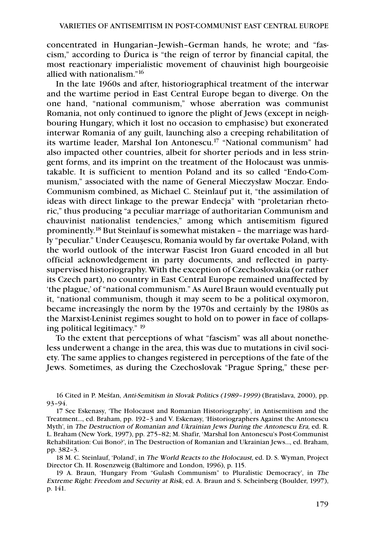concentrated in Hungarian–Jewish–German hands, he wrote; and "fascism," according to Ďurica is "the reign of terror by financial capital, the most reactionary imperialistic movement of chauvinist high bourgeoisie allied with nationalism."16

In the late 1960s and after, historiographical treatment of the interwar and the wartime period in East Central Europe began to diverge. On the one hand, "national communism," whose aberration was communist Romania, not only continued to ignore the plight of Jews (except in neighbouring Hungary, which it lost no occasion to emphasise) but exonerated interwar Romania of any guilt, launching also a creeping rehabilitation of its wartime leader, Marshal Ion Antonescu.17 "National communism" had also impacted other countries, albeit for shorter periods and in less stringent forms, and its imprint on the treatment of the Holocaust was unmistakable. It is sufficient to mention Poland and its so called "Endo-Communism," associated with the name of General Mieczysław Moczar. Endo-Communism combined, as Michael C. Steinlauf put it, "the assimilation of ideas with direct linkage to the prewar Endecja" with "proletarian rhetoric," thus producing "a peculiar marriage of authoritarian Communism and chauvinist nationalist tendencies," among which antisemitism figured prominently. <sup>18</sup> But Steinlauf is somewhat mistaken – the marriage was hardly "peculiar." Under Ceauşescu, Romania would by far overtake Poland, with the world outlook of the interwar Fascist Iron Guard encoded in all but official acknowledgement in party documents, and reflected in partysupervised historiography. With the exception of Czechoslovakia (or rather its Czech part), no country in East Central Europe remained unaffected by 'the plague,' of "national communism." As Aurel Braun would eventually put it, "national communism, though it may seem to be a political oxymoron, became increasingly the norm by the 1970s and certainly by the 1980s as the Marxist-Leninist regimes sought to hold on to power in face of collapsing political legitimacy." 19

To the extent that perceptions of what "fascism" was all about nonetheless underwent a change in the area, this was due to mutations in civil society. The same applies to changes registered in perceptions of the fate of the Jews. Sometimes, as during the Czechoslovak "Prague Spring," these per-

<sup>16</sup> Cited in P. Mešťan, Anti-Semitism in Slovak Politics (1989–1999) (Bratislava, 2000), pp. 93–94.

<sup>17</sup> See Eskenasy, 'The Holocaust and Romanian Historiography', in Antisemitism and the Treatment…, ed. Braham, pp. 192–3 and V. Eskenasy, 'Historiographers Against the Antonescu Myth', in The Destruction of Romanian and Ukrainian Jews During the Antonescu Era, ed. R. L. Braham (New York, 1997), pp. 275–82; M. Shafir, 'Marshal Ion Antonescu's Post-Communist Rehabilitation: Cui Bono?', in The Destruction of Romanian and Ukrainian Jews…, ed. Braham, pp. 382–3.

<sup>18</sup> M. C. Steinlauf, 'Poland', in The World Reacts to the Holocaust, ed. D. S. Wyman, Project Director Ch. H. Rosenzweig (Baltimore and London, 1996), p. 115.

<sup>19</sup> A. Braun, 'Hungary From "Gulash Communism" to Pluralistic Democracy', in The Extreme Right: Freedom and Security at Risk, ed. A. Braun and S. Scheinberg (Boulder, 1997), p. 141.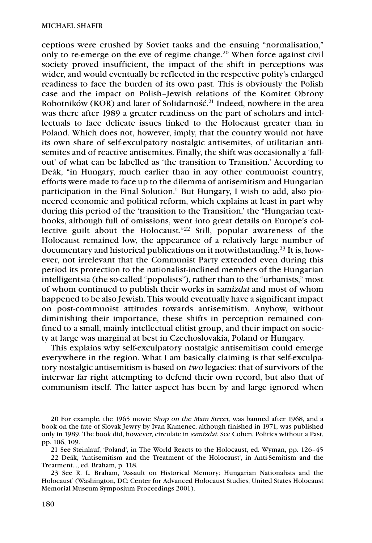ceptions were crushed by Soviet tanks and the ensuing "normalisation," only to re-emerge on the eve of regime change.20 When force against civil society proved insufficient, the impact of the shift in perceptions was wider, and would eventually be reflected in the respective polity's enlarged readiness to face the burden of its own past. This is obviously the Polish case and the impact on Polish–Jewish relations of the Komitet Obrony Robotników (KOR) and later of Solidarność. <sup>21</sup> Indeed, nowhere in the area was there after 1989 a greater readiness on the part of scholars and intellectuals to face delicate issues linked to the Holocaust greater than in Poland. Which does not, however, imply, that the country would not have its own share of self-exculpatory nostalgic antisemites, of utilitarian antisemites and of reactive antisemites. Finally, the shift was occasionally a 'fallout' of what can be labelled as 'the transition to Transition.' According to Deák, "in Hungary, much earlier than in any other communist country, efforts were made to face up to the dilemma of antisemitism and Hungarian participation in the Final Solution." But Hungary, I wish to add, also pioneered economic and political reform, which explains at least in part why during this period of the 'transition to the Transition,' the "Hungarian textbooks, although full of omissions, went into great details on Europe's collective guilt about the Holocaust."22 Still, popular awareness of the Holocaust remained low, the appearance of a relatively large number of documentary and historical publications on it notwithstanding.23 It is, however, not irrelevant that the Communist Party extended even during this period its protection to the nationalist-inclined members of the Hungarian intelligentsia (the so-called "populists"), rather than to the "urbanists," most of whom continued to publish their works in samizdat and most of whom happened to be also Jewish. This would eventually have a significant impact on post-communist attitudes towards antisemitism. Anyhow, without diminishing their importance, these shifts in perception remained confined to a small, mainly intellectual elitist group, and their impact on society at large was marginal at best in Czechoslovakia, Poland or Hungary.

This explains why self-exculpatory nostalgic antisemitism could emerge everywhere in the region. What I am basically claiming is that self-exculpatory nostalgic antisemitism is based on two legacies: that of survivors of the interwar far right attempting to defend their own record, but also that of communism itself. The latter aspect has been by and large ignored when

20 For example, the 1965 movie Shop on the Main Street, was banned after 1968, and a book on the fate of Slovak Jewry by Ivan Kamenec, although finished in 1971, was published only in 1989. The book did, however, circulate in samizdat. See Cohen, Politics without a Past, pp. 106, 109.

21 See Steinlauf, 'Poland', in The World Reacts to the Holocaust, ed. Wyman, pp. 126–45 22 Deák, 'Antisemitism and the Treatment of the Holocaust', in Anti-Semitism and the Treatment…, ed. Braham, p. 118.

23 See R. L. Braham, 'Assault on Historical Memory: Hungarian Nationalists and the Holocaust' (Washington, DC: Center for Advanced Holocaust Studies, United States Holocaust Memorial Museum Symposium Proceedings 2001).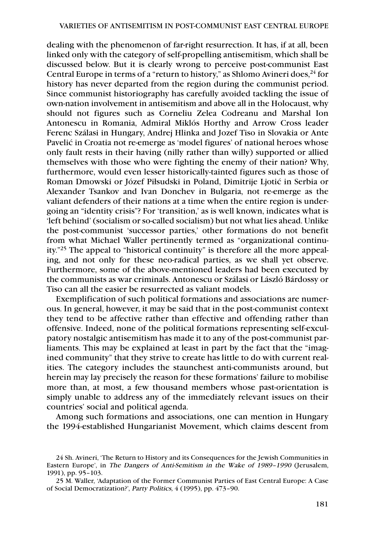dealing with the phenomenon of far-right resurrection. It has, if at all, been linked only with the category of self-propelling antisemitism, which shall be discussed below. But it is clearly wrong to perceive post-communist East Central Europe in terms of a "return to history," as Shlomo Avineri does, $^{24}$  for history has never departed from the region during the communist period. Since communist historiography has carefully avoided tackling the issue of own-nation involvement in antisemitism and above all in the Holocaust, why should not figures such as Corneliu Zelea Codreanu and Marshal Ion Antonescu in Romania, Admiral Miklós Horthy and Arrow Cross leader Ferenc Szálasi in Hungary, Andrej Hlinka and Jozef Tiso in Slovakia or Ante Pavelić in Croatia not re-emerge as 'model figures' of national heroes whose only fault rests in their having (nilly rather than willy) supported or allied themselves with those who were fighting the enemy of their nation? Why, furthermore, would even lesser historically-tainted figures such as those of Roman Dmowski or Józef Piłsudski in Poland, Dimitrije Ljotić in Serbia or Alexander Tsankov and Ivan Donchev in Bulgaria, not re-emerge as the valiant defenders of their nations at a time when the entire region is undergoing an "identity crisis"? For 'transition,' as is well known, indicates what is 'left behind' (socialism or so-called socialism) but not what lies ahead. Unlike the post-communist 'successor parties,' other formations do not benefit from what Michael Waller pertinently termed as "organizational continuity."25 The appeal to "historical continuity" is therefore all the more appealing, and not only for these neo-radical parties, as we shall yet observe. Furthermore, some of the above-mentioned leaders had been executed by the communists as war criminals. Antonescu or Szálasi or László Bárdossy or Tiso can all the easier be resurrected as valiant models.

Exemplification of such political formations and associations are numerous. In general, however, it may be said that in the post-communist context they tend to be affective rather than effective and offending rather than offensive. Indeed, none of the political formations representing self-exculpatory nostalgic antisemitism has made it to any of the post-communist parliaments. This may be explained at least in part by the fact that the "imagined community" that they strive to create has little to do with current realities. The category includes the staunchest anti-communists around, but herein may lay precisely the reason for these formations' failure to mobilise more than, at most, a few thousand members whose past-orientation is simply unable to address any of the immediately relevant issues on their countries' social and political agenda.

Among such formations and associations, one can mention in Hungary the 1994-established Hungarianist Movement, which claims descent from

<sup>24</sup> Sh. Avineri, 'The Return to History and its Consequences for the Jewish Communities in Eastern Europe', in The Dangers of Anti-Semitism in the Wake of 1989–1990 (Jerusalem, 1991), pp. 95–103.

<sup>25</sup> M. Waller, 'Adaptation of the Former Communist Parties of East Central Europe: A Case of Social Democratization?', Party Politics, 4 (1995), pp. 473–90.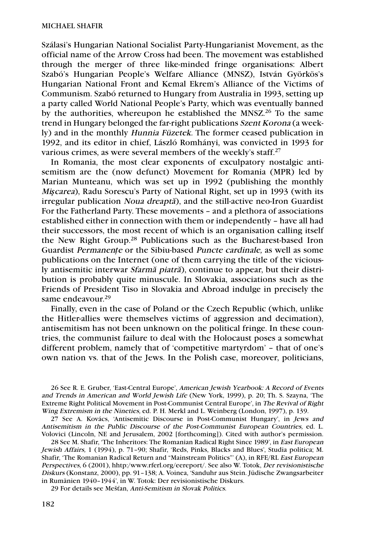Szálasi's Hungarian National Socialist Party-Hungarianist Movement, as the official name of the Arrow Cross had been. The movement was established through the merger of three like-minded fringe organisations: Albert Szabó's Hungarian People's Welfare Alliance (MNSZ), István Györkös's Hungarian National Front and Kemal Ekrem's Alliance of the Victims of Communism. Szabó returned to Hungary from Australia in 1993, setting up a party called World National People's Party, which was eventually banned by the authorities, whereupon he established the MNSZ.<sup>26</sup> To the same trend in Hungary belonged the far-right publications Szent Korona (a weekly) and in the monthly Hunnia Füzetek. The former ceased publication in 1992, and its editor in chief, László Romhányi, was convicted in 1993 for various crimes, as were several members of the weekly's staff.27

In Romania, the most clear exponents of exculpatory nostalgic antisemitism are the (now defunct) Movement for Romania (MPR) led by Marian Munteanu, which was set up in 1992 (publishing the monthly Mi*ş*carea), Radu Sorescu's Party of National Right, set up in 1993 (with its irregular publication Noua dreapta*˘*), and the still-active neo-Iron Guardist For the Fatherland Party. These movements – and a plethora of associations established either in connection with them or independently – have all had their successors, the most recent of which is an organisation calling itself the New Right Group.<sup>28</sup> Publications such as the Bucharest-based Iron Guardist Permanen*ţ*<sup>e</sup> or the Sibiu-based Puncte cardinale, as well as some publications on the Internet (one of them carrying the title of the viciously antisemitic interwar *Sfarmă piatră*), continue to appear, but their distribution is probably quite minuscule. In Slovakia, associations such as the Friends of President Tiso in Slovakia and Abroad indulge in precisely the same endeavour. 29

Finally, even in the case of Poland or the Czech Republic (which, unlike the Hitler-allies were themselves victims of aggression and decimation), antisemitism has not been unknown on the political fringe. In these countries, the communist failure to deal with the Holocaust poses a somewhat different problem, namely that of 'competitive martyrdom' – that of one's own nation vs. that of the Jews. In the Polish case, moreover, politicians,

26 See R. E. Gruber, 'East-Central Europe', American Jewish Yearbook: A Record of Events and Trends in American and World Jewish Life (New York, 1999), p. 20; Th. S. Szayna, 'The Extreme Right Political Movement in Post-Communist Central Europe', in The Revival of Right Wing Extremism in the Nineties, ed. P. H. Merkl and L. Weinberg (London, 1997), p. 139.

27 See A. Kovács, 'Antisemitic Discourse in Post-Communist Hungary', in Jews and Antisemitism in the Public Discourse of the Post-Communist European Countries, ed. L. Volovici (Lincoln, NE and Jerusalem, 2002 [forthcoming]). Cited with author's permission.

28 See M. Shafir, 'The Inheritors: The Romanian Radical Right Since 1989', in East European Jewish Affairs, 1 (1994), p. 71–90; Shafir, 'Reds, Pinks, Blacks and Blues', Studia politica; M. Shafir, 'The Romanian Radical Return and "Mainstream Politics"' (A), in RFE/RL East European Perspectives, 6 (2001), hhtp:/www.rferl.org/eereport/. See also W. Totok, Der revisionistische Diskurs (Konstanz, 2000), pp. 91–138; A. Voinea, 'Sanduhr aus Stein. Jüdische Zwangsarbeiter in Rumänien 1940–1944', in W. Totok: Der revisionistische Diskurs.

29 For details see Mešťan, Anti-Semitism in Slovak Politics.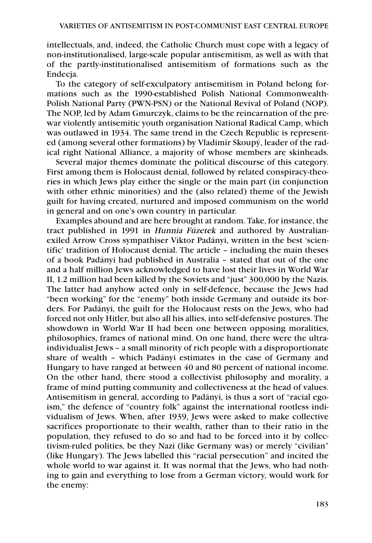intellectuals, and, indeed, the Catholic Church must cope with a legacy of non-institutionalised, large-scale popular antisemitism, as well as with that of the partly-institutionalised antisemitism of formations such as the Endecja.

To the category of self-exculpatory antisemitism in Poland belong formations such as the 1990-established Polish National Commonwealth-Polish National Party (PWN-PSN) or the National Revival of Poland (NOP). The NOP, led by Adam Gmurczyk, claims to be the reincarnation of the prewar violently antisemitic youth organisation National Radical Camp, which was outlawed in 1934. The same trend in the Czech Republic is represented (among several other formations) by Vladimír Skoupý, leader of the radical right National Alliance, a majority of whose members are skinheads.

Several major themes dominate the political discourse of this category. First among them is Holocaust denial, followed by related conspiracy-theories in which Jews play either the single or the main part (in conjunction with other ethnic minorities) and the (also related) theme of the Jewish guilt for having created, nurtured and imposed communism on the world in general and on one's own country in particular.

Examples abound and are here brought at random. Take, for instance, the tract published in 1991 in Hunnia Füzetek and authored by Australianexiled Arrow Cross sympathiser Viktor Padányi, written in the best 'scientific' tradition of Holocaust denial. The article – including the main theses of a book Padányi had published in Australia – stated that out of the one and a half million Jews acknowledged to have lost their lives in World War II, 1.2 million had been killed by the Soviets and "just" 300,000 by the Nazis. The latter had anyhow acted only in self-defence, because the Jews had "been working" for the "enemy" both inside Germany and outside its borders. For Padányi, the guilt for the Holocaust rests on the Jews, who had forced not only Hitler, but also all his allies, into self-defensive postures. The showdown in World War II had been one between opposing moralities, philosophies, frames of national mind. On one hand, there were the ultraindividualist Jews – a small minority of rich people with a disproportionate share of wealth – which Padányi estimates in the case of Germany and Hungary to have ranged at between 40 and 80 percent of national income. On the other hand, there stood a collectivist philosophy and morality, a frame of mind putting community and collectiveness at the head of values. Antisemitism in general, according to Padányi, is thus a sort of "racial egoism," the defence of "country folk" against the international rootless individualism of Jews. When, after 1939, Jews were asked to make collective sacrifices proportionate to their wealth, rather than to their ratio in the population, they refused to do so and had to be forced into it by collectivism-ruled polities, be they Nazi (like Germany was) or merely "civilian" (like Hungary). The Jews labelled this "racial persecution" and incited the whole world to war against it. It was normal that the Jews, who had nothing to gain and everything to lose from a German victory, would work for the enemy: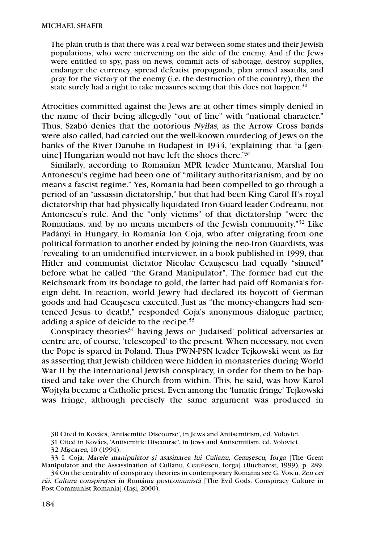The plain truth is that there was a real war between some states and their Jewish populations, who were intervening on the side of the enemy. And if the Jews were entitled to spy, pass on news, commit acts of sabotage, destroy supplies, endanger the currency, spread defeatist propaganda, plan armed assaults, and pray for the victory of the enemy (i.e. the destruction of the country), then the state surely had a right to take measures seeing that this does not happen.<sup>30</sup>

Atrocities committed against the Jews are at other times simply denied in the name of their being allegedly "out of line" with "national character." Thus, Szabó denies that the notorious Nyilas, as the Arrow Cross bands were also called, had carried out the well-known murdering of Jews on the banks of the River Danube in Budapest in 1944, 'explaining' that "a [genuine] Hungarian would not have left the shoes there."31

Similarly, according to Romanian MPR leader Munteanu, Marshal Ion Antonescu's regime had been one of "military authoritarianism, and by no means a fascist regime." Yes, Romania had been compelled to go through a period of an "assassin dictatorship," but that had been King Carol II's royal dictatorship that had physically liquidated Iron Guard leader Codreanu, not Antonescu's rule. And the "only victims" of that dictatorship "were the Romanians, and by no means members of the Jewish community."32 Like Padányi in Hungary, in Romania Ion Coja, who after migrating from one political formation to another ended by joining the neo-Iron Guardists, was 'revealing' to an unidentified interviewer, in a book published in 1999, that Hitler and communist dictator Nicolae Ceauşescu had equally "sinned" before what he called "the Grand Manipulator". The former had cut the Reichsmark from its bondage to gold, the latter had paid off Romania's foreign debt. In reaction, world Jewry had declared its boycott of German goods and had Ceauşescu executed. Just as "the money-changers had sentenced Jesus to death!," responded Coja's anonymous dialogue partner, adding a spice of deicide to the recipe.<sup>33</sup>

Conspiracy theories<sup>34</sup> having Jews or 'Judaised' political adversaries at centre are, of course, 'telescoped' to the present. When necessary, not even the Pope is spared in Poland. Thus PWN-PSN leader Tejkowski went as far as asserting that Jewish children were hidden in monasteries during World War II by the international Jewish conspiracy, in order for them to be baptised and take over the Church from within. This, he said, was how Karol Wojtyła became a Catholic priest. Even among the 'lunatic fringe' Tejkowski was fringe, although precisely the same argument was produced in

<sup>30</sup> Cited in Kovács, 'Antisemitic Discourse', in Jews and Antisemitism, ed. Volovici.

<sup>31</sup> Cited in Kovács, 'Antisemitic Discourse', in Jews and Antisemitism, ed. Volovici.

<sup>32</sup> Mi*ş*carea, 10 (1994).

<sup>33</sup> I. Coja, Marele manipulator *ş*i asasinarea lui Culianu, Ceau*ş*escu, Iorga [The Great Manipulator and the Assassination of Culianu, Ceauºescu, Iorga] (Bucharest, 1999), p. 289.

<sup>34</sup> On the centrality of conspiracy theories in contemporary Romania see G. Voicu, Zeii cei răi. Cultura conspirației în România postcomunistă [The Evil Gods. Conspiracy Culture in Post-Communist Romania] (Iaşi, 2000).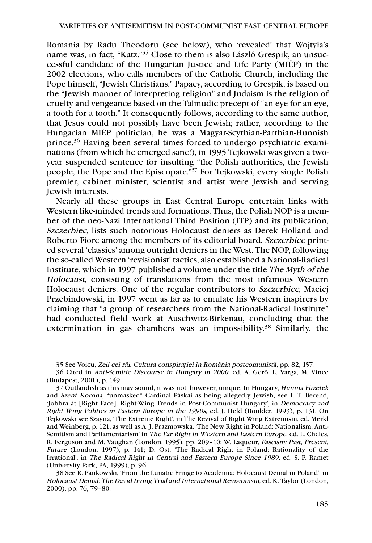Romania by Radu Theodoru (see below), who 'revealed' that Wojtyła's name was, in fact, "Katz."35 Close to them is also László Grespik, an unsuccessful candidate of the Hungarian Justice and Life Party (MIÉP) in the 2002 elections, who calls members of the Catholic Church, including the Pope himself, "Jewish Christians." Papacy, according to Grespik, is based on the "Jewish manner of interpreting religion" and Judaism is the religion of cruelty and vengeance based on the Talmudic precept of "an eye for an eye, a tooth for a tooth." It consequently follows, according to the same author, that Jesus could not possibly have been Jewish; rather, according to the Hungarian MIÉP politician, he was a Magyar-Scythian-Parthian-Hunnish prince.36 Having been several times forced to undergo psychiatric examinations (from which he emerged sane!), in 1995 Tejkowski was given a twoyear suspended sentence for insulting "the Polish authorities, the Jewish people, the Pope and the Episcopate."37 For Tejkowski, every single Polish premier, cabinet minister, scientist and artist were Jewish and serving Jewish interests.

Nearly all these groups in East Central Europe entertain links with Western like-minded trends and formations. Thus, the Polish NOP is a member of the neo-Nazi International Third Position (ITP) and its publication, Szczerbiec, lists such notorious Holocaust deniers as Derek Holland and Roberto Fiore among the members of its editorial board. Szczerbiec printed several 'classics' among outright deniers in the West. The NOP, following the so-called Western 'revisionist' tactics, also established a National-Radical Institute, which in 1997 published a volume under the title The Myth of the Holocaust, consisting of translations from the most infamous Western Holocaust deniers. One of the regular contributors to Szczerbiec, Maciej Przebindowski, in 1997 went as far as to emulate his Western inspirers by claiming that "a group of researchers from the National-Radical Institute" had conducted field work at Auschwitz-Birkenau, concluding that the extermination in gas chambers was an impossibility.<sup>38</sup> Similarly, the

35 See Voicu, Zeii cei ra*˘*i. Cultura conspira*ţ*iei în România postcomunista*˘*, pp. 82, 157.

36 Cited in Anti-Semitic Discourse in Hungary in 2000, ed. A. Gerő, L. Varga, M. Vince (Budapest, 2001), p. 149.

37 Outlandish as this may sound, it was not, however, unique. In Hungary, Hunnia Füzetek and Szent Korona, "unmasked" Cardinal Páskai as being allegedly Jewish, see I. T. Berend, 'Jobbra át [Right Face]. Right-Wing Trends in Post-Communist Hungary', in Democracy and Right Wing Politics in Eastern Europe in the 1990s, ed. J. Held (Boulder, 1993), p. 131. On Tejkowski see Szayna, 'The Extreme Right', in The Revival of Right Wing Extremism, ed. Merkl and Weinberg, p. 121, as well as A. J. Prazmowska, 'The New Right in Poland: Nationalism, Anti-Semitism and Parliamentarism' in The Far Right in Western and Eastern Europe, ed. L. Cheles, R. Ferguson and M. Vaughan (London, 1995), pp. 209–10; W. Laqueur, Fascism: Past, Present, Future (London, 1997), p. 141; D. Ost, 'The Radical Right in Poland: Rationality of the Irrational', in The Radical Right in Central and Eastern Europe Since 1989, ed. S. P. Ramet (University Park, PA, 1999), p. 96.

38 See R. Pankowski, 'From the Lunatic Fringe to Academia: Holocaust Denial in Poland', in Holocaust Denial: The David Irving Trial and International Revisionism, ed. K. Taylor (London, 2000), pp. 76, 79–80.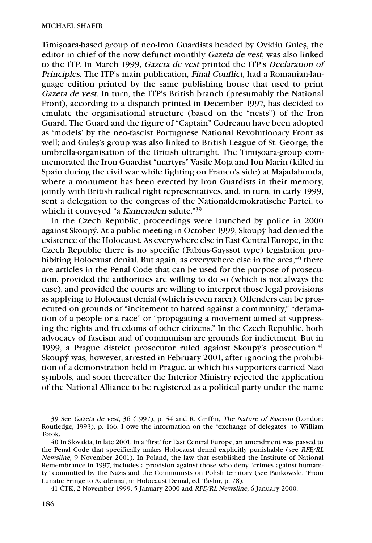Timişoara-based group of neo-Iron Guardists headed by Ovidiu Guleş, the editor in chief of the now defunct monthly Gazeta de vest, was also linked to the ITP. In March 1999, Gazeta de vest printed the ITP's Declaration of Principles. The ITP's main publication, Final Conflict, had a Romanian-language edition printed by the same publishing house that used to print Gazeta de vest. In turn, the ITP's British branch (presumably the National Front), according to a dispatch printed in December 1997, has decided to emulate the organisational structure (based on the "nests") of the Iron Guard. The Guard and the figure of "Captain" Codreanu have been adopted as 'models' by the neo-fascist Portuguese National Revolutionary Front as well; and Guleş's group was also linked to British League of St. George, the umbrella-organisation of the British ultraright. The Timişoara-group commemorated the Iron Guardist "martyrs" Vasile Moţa and Ion Marin (killed in Spain during the civil war while fighting on Franco's side) at Majadahonda, where a monument has been erected by Iron Guardists in their memory, jointly with British radical right representatives, and, in turn, in early 1999, sent a delegation to the congress of the Nationaldemokratische Partei, to which it conveyed "a Kameraden salute."<sup>39</sup>

In the Czech Republic, proceedings were launched by police in 2000 against Skoupý. At a public meeting in October 1999, Skoupý had denied the existence of the Holocaust. As everywhere else in East Central Europe, in the Czech Republic there is no specific (Fabius-Gayssot type) legislation prohibiting Holocaust denial. But again, as everywhere else in the area, $40$  there are articles in the Penal Code that can be used for the purpose of prosecution, provided the authorities are willing to do so (which is not always the case), and provided the courts are willing to interpret those legal provisions as applying to Holocaust denial (which is even rarer). Offenders can be prosecuted on grounds of "incitement to hatred against a community," "defamation of a people or a race" or "propagating a movement aimed at suppressing the rights and freedoms of other citizens." In the Czech Republic, both advocacy of fascism and of communism are grounds for indictment. But in 1999, a Prague district prosecutor ruled against Skoupý's prosecution. $41$ Skoupý was, however, arrested in February 2001, after ignoring the prohibition of a demonstration held in Prague, at which his supporters carried Nazi symbols, and soon thereafter the Interior Ministry rejected the application of the National Alliance to be registered as a political party under the name

41 ČTK, 2 November 1999, 5 January 2000 and RFE/RL Newsline, 6 January 2000.

<sup>39</sup> See Gazeta de vest, 36 (1997), p. 54 and R. Griffin, The Nature of Fascism (London: Routledge, 1993), p. 166. I owe the information on the "exchange of delegates" to William Totok.

<sup>40</sup> In Slovakia, in late 2001, in a 'first' for East Central Europe, an amendment was passed to the Penal Code that specifically makes Holocaust denial explicitly punishable (see RFE/RL Newsline, 9 November 2001). In Poland, the law that established the Institute of National Remembrance in 1997, includes a provision against those who deny "crimes against humanity" committed by the Nazis and the Communists on Polish territory (see Pankowski, 'From Lunatic Fringe to Academia', in Holocaust Denial, ed. Taylor, p. 78).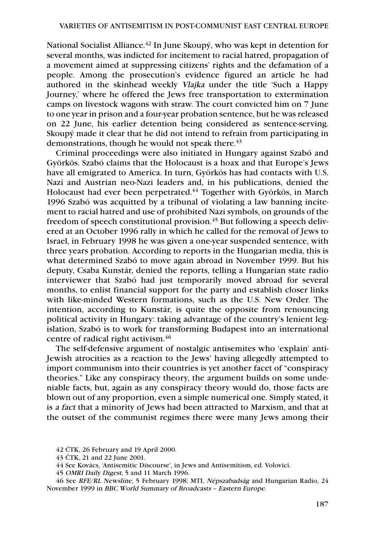National Socialist Alliance.<sup>42</sup> In June Skoupý, who was kept in detention for several months, was indicted for incitement to racial hatred, propagation of a movement aimed at suppressing citizens' rights and the defamation of a people. Among the prosecution's evidence figured an article he had authored in the skinhead weekly Vlajka under the title 'Such a Happy Journey,' where he offered the Jews free transportation to extermination camps on livestock wagons with straw. The court convicted him on 7 June to one year in prison and a four-year probation sentence, but he was released on 22 June, his earlier detention being considered as sentence-serving. Skoupý made it clear that he did not intend to refrain from participating in demonstrations, though he would not speak there.<sup>43</sup>

Criminal proceedings were also initiated in Hungary against Szabó and Györkös. Szabó claims that the Holocaust is a hoax and that Europe's Jews have all emigrated to America. In turn, Györkös has had contacts with U.S. Nazi and Austrian neo-Nazi leaders and, in his publications, denied the Holocaust had ever been perpetrated.<sup>44</sup> Together with Györkös, in March 1996 Szabó was acquitted by a tribunal of violating a law banning incitement to racial hatred and use of prohibited Nazi symbols, on grounds of the freedom of speech constitutional provision.45 But following a speech delivered at an October 1996 rally in which he called for the removal of Jews to Israel, in February 1998 he was given a one-year suspended sentence, with three years probation. According to reports in the Hungarian media, this is what determined Szabó to move again abroad in November 1999. But his deputy, Csaba Kunstár, denied the reports, telling a Hungarian state radio interviewer that Szabó had just temporarily moved abroad for several months, to enlist financial support for the party and establish closer links with like-minded Western formations, such as the U.S. New Order. The intention, according to Kunstár, is quite the opposite from renouncing political activity in Hungary: taking advantage of the country's lenient legislation, Szabó is to work for transforming Budapest into an international centre of radical right activism.46

The self-defensive argument of nostalgic antisemites who 'explain' anti-Jewish atrocities as a reaction to the Jews' having allegedly attempted to import communism into their countries is yet another facet of "conspiracy theories." Like any conspiracy theory, the argument builds on some undeniable facts, but, again as any conspiracy theory would do, those facts are blown out of any proportion, even a simple numerical one. Simply stated, it is a fact that a minority of Jews had been attracted to Marxism, and that at the outset of the communist regimes there were many Jews among their

<sup>42</sup> ČTK, 26 February and 19 April 2000.

<sup>43</sup> ČTK, 21 and 22 June 2001.

<sup>44</sup> See Kovács, 'Antisemitic Discourse', in Jews and Antisemitism, ed. Volovici.

<sup>45</sup> OMRI Daily Digest, 5 and 11 March 1996.

<sup>46</sup> See RFE/RL Newsline, 5 February 1998; MTI, Népszabadság and Hungarian Radio, 24 November 1999 in BBC World Summary of Broadcasts – Eastern Europe.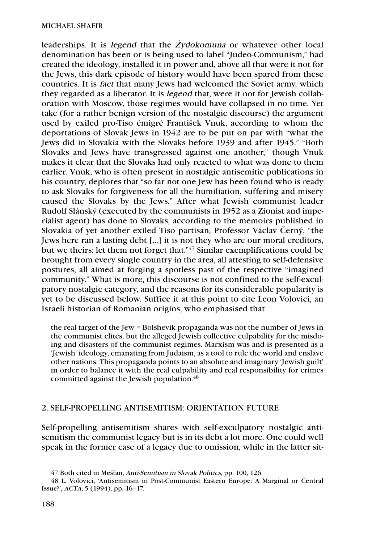leaderships. It is legend that the *Ż*ydokomuna or whatever other local denomination has been or is being used to label "Judeo-Communism," had created the ideology, installed it in power and, above all that were it not for the Jews, this dark episode of history would have been spared from these countries. It is fact that many Jews had welcomed the Soviet army, which they regarded as a liberator. It is legend that, were it not for Jewish collaboration with Moscow, those regimes would have collapsed in no time. Yet take (for a rather benign version of the nostalgic discourse) the argument used by exiled pro-Tiso émigré František Vnuk, according to whom the deportations of Slovak Jews in 1942 are to be put on par with "what the Jews did in Slovakia with the Slovaks before 1939 and after 1945." "Both Slovaks and Jews have transgressed against one another," though Vnuk makes it clear that the Slovaks had only reacted to what was done to them earlier. Vnuk, who is often present in nostalgic antisemitic publications in his country, deplores that "so far not one Jew has been found who is ready to ask Slovaks for forgiveness for all the humiliation, suffering and misery caused the Slovaks by the Jews." After what Jewish communist leader Rudolf Slánský (executed by the communists in 1952 as a Zionist and imperialist agent) has done to Slovaks, according to the memoirs published in Slovakia of yet another exiled Tiso partisan, Professor Václav Černý, "the Jews here ran a lasting debt […] it is not they who are our moral creditors, but we theirs: let them not forget that."47 Similar exemplifications could be brought from every single country in the area, all attesting to self-defensive postures, all aimed at forging a spotless past of the respective "imagined community." What is more, this discourse is not confined to the self-exculpatory nostalgic category, and the reasons for its considerable popularity is yet to be discussed below. Suffice it at this point to cite Leon Volovici, an Israeli historian of Romanian origins, who emphasised that

the real target of the Jew = Bolshevik propaganda was not the number of Jews in the communist elites, but the alleged Jewish collective culpability for the misdoing and disasters of the communist regimes. Marxism was and is presented as a 'Jewish' ideology, emanating from Judaism, as a tool to rule the world and enslave other nations. This propaganda points to an absolute and imaginary 'Jewish guilt' in order to balance it with the real culpability and real responsibility for crimes committed against the Jewish population.<sup>48</sup>

## 2. SELF-PROPELLING ANTISEMITISM: ORIENTATION FUTURE

Self-propelling antisemitism shares with self-exculpatory nostalgic antisemitism the communist legacy but is in its debt a lot more. One could well speak in the former case of a legacy due to omission, while in the latter sit-

<sup>47</sup> Both cited in Mešťan, Anti-Semitism in Slovak Politics, pp. 100, 126.

<sup>48</sup> L. Volovici, 'Antisemitism in Post-Communist Eastern Europe: A Marginal or Central Issue?', ACTA, 5 (1994), pp. 16–17.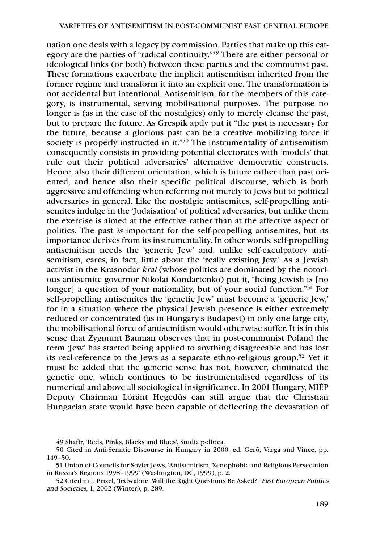uation one deals with a legacy by commission. Parties that make up this category are the parties of "radical continuity."49 There are either personal or ideological links (or both) between these parties and the communist past. These formations exacerbate the implicit antisemitism inherited from the former regime and transform it into an explicit one. The transformation is not accidental but intentional. Antisemitism, for the members of this category, is instrumental, serving mobilisational purposes. The purpose no longer is (as in the case of the nostalgics) only to merely cleanse the past, but to prepare the future. As Grespik aptly put it "the past is necessary for the future, because a glorious past can be a creative mobilizing force if society is properly instructed in it."<sup>50</sup> The instrumentality of antisemitism consequently consists in providing potential electorates with 'models' that rule out their political adversaries' alternative democratic constructs. Hence, also their different orientation, which is future rather than past oriented, and hence also their specific political discourse, which is both aggressive and offending when referring not merely to Jews but to political adversaries in general. Like the nostalgic antisemites, self-propelling antisemites indulge in the 'Judaisation' of political adversaries, but unlike them the exercise is aimed at the effective rather than at the affective aspect of politics. The past is important for the self-propelling antisemites, but its importance derives from its instrumentality. In other words, self-propelling antisemitism needs the 'generic Jew' and, unlike self-exculpatory antisemitism, cares, in fact, little about the 'really existing Jew.' As a Jewish activist in the Krasnodar krai (whose politics are dominated by the notorious antisemite governor Nikolai Kondartenko) put it, "being Jewish is [no longer] a question of your nationality, but of your social function."<sup>51</sup> For self-propelling antisemites the 'genetic Jew' must become a 'generic Jew,' for in a situation where the physical Jewish presence is either extremely reduced or concentrated (as in Hungary's Budapest) in only one large city, the mobilisational force of antisemitism would otherwise suffer. It is in this sense that Zygmunt Bauman observes that in post-communist Poland the term 'Jew' has started being applied to anything disagreeable and has lost its real-reference to the Jews as a separate ethno-religious group.52 Yet it must be added that the generic sense has not, however, eliminated the genetic one, which continues to be instrumentalised regardless of its numerical and above all sociological insignificance. In 2001 Hungary, MIÉP Deputy Chairman Lóránt Hegedüs can still argue that the Christian Hungarian state would have been capable of deflecting the devastation of

51 Union of Councils for Soviet Jews, 'Antisemitism, Xenophobia and Religious Persecution in Russia's Regions 1998–1999' (Washington, DC, 1999), p. 2.

52 Cited in I. Prizel, 'Jedwabne: Will the Right Questions Be Asked?', East European Politics and Societies, 1, 2002 (Winter), p. 289.

<sup>49</sup> Shafir, 'Reds, Pinks, Blacks and Blues', Studia politica.

<sup>50</sup> Cited in Anti-Semitic Discourse in Hungary in 2000, ed. Gerõ, Varga and Vince, pp. 149–50.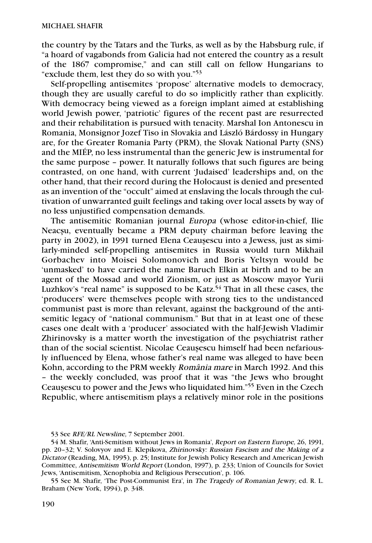the country by the Tatars and the Turks, as well as by the Habsburg rule, if "a hoard of vagabonds from Galicia had not entered the country as a result of the 1867 compromise," and can still call on fellow Hungarians to "exclude them, lest they do so with you."53

Self-propelling antisemites 'propose' alternative models to democracy, though they are usually careful to do so implicitly rather than explicitly. With democracy being viewed as a foreign implant aimed at establishing world Jewish power, 'patriotic' figures of the recent past are resurrected and their rehabilitation is pursued with tenacity. Marshal Ion Antonescu in Romania, Monsignor Jozef Tiso in Slovakia and László Bárdossy in Hungary are, for the Greater Romania Party (PRM), the Slovak National Party (SNS) and the MIÉP, no less instrumental than the generic Jew is instrumental for the same purpose – power. It naturally follows that such figures are being contrasted, on one hand, with current 'Judaised' leaderships and, on the other hand, that their record during the Holocaust is denied and presented as an invention of the "occult" aimed at enslaving the locals through the cultivation of unwarranted guilt feelings and taking over local assets by way of no less unjustified compensation demands.

The antisemitic Romanian journal Europa (whose editor-in-chief, Ilie Neacşu, eventually became a PRM deputy chairman before leaving the party in 2002), in 1991 turned Elena Ceauşescu into a Jewess, just as similarly-minded self-propelling antisemites in Russia would turn Mikhail Gorbachev into Moisei Solomonovich and Boris Yeltsyn would be 'unmasked' to have carried the name Baruch Elkin at birth and to be an agent of the Mossad and world Zionism, or just as Moscow mayor Yurii Luzhkov's "real name" is supposed to be Katz.<sup>54</sup> That in all these cases, the 'producers' were themselves people with strong ties to the undistanced communist past is more than relevant, against the background of the antisemitic legacy of "national communism." But that in at least one of these cases one dealt with a 'producer' associated with the half-Jewish Vladimir Zhirinovsky is a matter worth the investigation of the psychiatrist rather than of the social scientist. Nicolae Ceauşescu himself had been nefariously influenced by Elena, whose father's real name was alleged to have been Kohn, according to the PRM weekly România mare in March 1992. And this – the weekly concluded, was proof that it was "the Jews who brought Ceauşescu to power and the Jews who liquidated him."55 Even in the Czech Republic, where antisemitism plays a relatively minor role in the positions

<sup>53</sup> See RFE/RL Newsline, 7 September 2001.

<sup>54</sup> M. Shafir, 'Anti-Semitism without Jews in Romania', Report on Eastern Europe, 26, 1991, pp. 20–32; V. Solovyov and E. Klepikova, Zhirinovsky: Russian Fascism and the Making of a Dictator (Reading, MA, 1995), p. 25; Institute for Jewish Policy Research and American Jewish Committee, Antisemitism World Report (London, 1997), p. 233; Union of Councils for Soviet Jews, 'Antisemitism, Xenophobia and Religious Persecution', p. 106.

<sup>55</sup> See M. Shafir, 'The Post-Communist Era', in The Tragedy of Romanian Jewry, ed. R. L. Braham (New York, 1994), p. 348.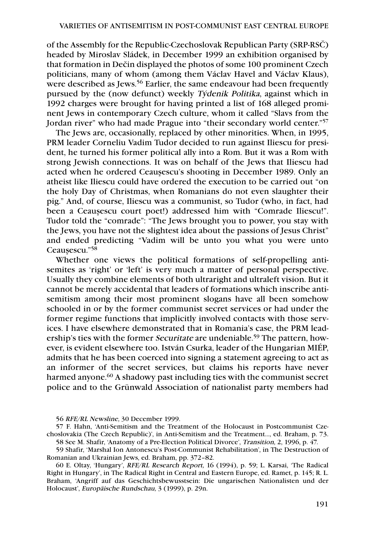of the Assembly for the Republic-Czechoslovak Republican Party (SRP-RSČ) headed by Miroslav Sládek, in December 1999 an exhibition organised by that formation in Dečin displayed the photos of some 100 prominent Czech politicians, many of whom (among them Václav Havel and Václav Klaus), were described as Jews.<sup>56</sup> Earlier, the same endeavour had been frequently pursued by the (now defunct) weekly Týdenik Politika, against which in 1992 charges were brought for having printed a list of 168 alleged prominent Jews in contemporary Czech culture, whom it called "Slavs from the Jordan river" who had made Prague into "their secondary world center."57

The Jews are, occasionally, replaced by other minorities. When, in 1995, PRM leader Corneliu Vadim Tudor decided to run against Iliescu for president, he turned his former political ally into a Rom. But it was a Rom with strong Jewish connections. It was on behalf of the Jews that Iliescu had acted when he ordered Ceauşescu's shooting in December 1989. Only an atheist like Iliescu could have ordered the execution to be carried out "on the holy Day of Christmas, when Romanians do not even slaughter their pig." And, of course, Iliescu was a communist, so Tudor (who, in fact, had been a Ceauşescu court poet!) addressed him with "Comrade Iliescu!". Tudor told the "comrade": "The Jews brought you to power, you stay with the Jews, you have not the slightest idea about the passions of Jesus Christ" and ended predicting "Vadim will be unto you what you were unto Ceauşescu."58

Whether one views the political formations of self-propelling antisemites as 'right' or 'left' is very much a matter of personal perspective. Usually they combine elements of both ultraright and ultraleft vision. But it cannot be merely accidental that leaders of formations which inscribe antisemitism among their most prominent slogans have all been somehow schooled in or by the former communist secret services or had under the former regime functions that implicitly involved contacts with those services. I have elsewhere demonstrated that in Romania's case, the PRM leadership's ties with the former *Securitate* are undeniable.<sup>59</sup> The pattern, however, is evident elsewhere too. István Csurka, leader of the Hungarian MIÉP, admits that he has been coerced into signing a statement agreeing to act as an informer of the secret services, but claims his reports have never harmed anyone.<sup>60</sup> A shadowy past including ties with the communist secret police and to the Grünwald Association of nationalist party members had

60 E. Oltay, 'Hungary', RFE/RL Research Report, 16 (1994), p. 59; L. Karsai, 'The Radical Right in Hungary', in The Radical Right in Central and Eastern Europe, ed. Ramet, p. 145; R. L. Braham, 'Angriff auf das Geschichtsbewusstsein: Die ungarischen Nationalisten und der Holocaust', Europäische Rundschau, 3 (1999), p. 29n.

<sup>56</sup> RFE/RL Newsline, 30 December 1999.

<sup>57</sup> F. Hahn, 'Anti-Semitism and the Treatment of the Holocaust in Postcommunist Czechoslovakia (The Czech Republic)', in Anti-Semitism and the Treatment…, ed. Braham, p. 73. 58 See M. Shafir, 'Anatomy of a Pre-Election Political Divorce', Transition, 2, 1996, p. 47.

<sup>59</sup> Shafir, 'Marshal Ion Antonescu's Post-Communist Rehabilitation', in The Destruction of Romanian and Ukrainian Jews, ed. Braham, pp. 372–82.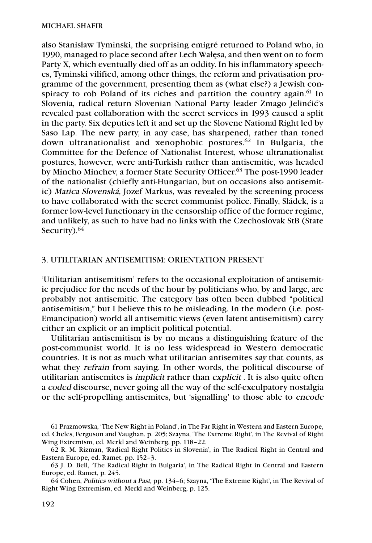also Stanisław Tyminski, the surprising emigré returned to Poland who, in 1990, managed to place second after Lech Wałęsa, and then went on to form Party X, which eventually died off as an oddity. In his inflammatory speeches, Tyminski vilified, among other things, the reform and privatisation programme of the government, presenting them as (what else?) a Jewish conspiracy to rob Poland of its riches and partition the country again.<sup>61</sup> In Slovenia, radical return Slovenian National Party leader Zmago Jelinćić's revealed past collaboration with the secret services in 1993 caused a split in the party. Six deputies left it and set up the Slovene National Right led by Saso Lap. The new party, in any case, has sharpened, rather than toned down ultranationalist and xenophobic postures.62 In Bulgaria, the Committee for the Defence of Nationalist Interest, whose ultranationalist postures, however, were anti-Turkish rather than antisemitic, was headed by Mincho Minchev, a former State Security Officer. <sup>63</sup> The post-1990 leader of the nationalist (chiefly anti-Hungarian, but on occasions also antisemitic) Matica Slovenská, Jozef Markus, was revealed by the screening process to have collaborated with the secret communist police. Finally, Sládek, is a former low-level functionary in the censorship office of the former regime, and unlikely, as such to have had no links with the Czechoslovak StB (State Security).<sup>64</sup>

## 3. UTILITARIAN ANTISEMITISM: ORIENTATION PRESENT

'Utilitarian antisemitism' refers to the occasional exploitation of antisemitic prejudice for the needs of the hour by politicians who, by and large, are probably not antisemitic. The category has often been dubbed "political antisemitism," but I believe this to be misleading. In the modern (i.e. post-Emancipation) world all antisemitic views (even latent antisemitism) carry either an explicit or an implicit political potential.

Utilitarian antisemitism is by no means a distinguishing feature of the post-communist world. It is no less widespread in Western democratic countries. It is not as much what utilitarian antisemites say that counts, as what they refrain from saying. In other words, the political discourse of utilitarian antisemites is implicit rather than explicit . It is also quite often a coded discourse, never going all the way of the self-exculpatory nostalgia or the self-propelling antisemites, but 'signalling' to those able to encode

<sup>61</sup> Prazmowska, 'The New Right in Poland', in The Far Right in Western and Eastern Europe, ed. Cheles, Ferguson and Vaughan, p. 205; Szayna, 'The Extreme Right', in The Revival of Right Wing Extremism, ed. Merkl and Weinberg, pp. 118–22.

<sup>62</sup> R. M. Rizman, 'Radical Right Politics in Slovenia', in The Radical Right in Central and Eastern Europe, ed. Ramet, pp. 152–3.

<sup>63</sup> J. D. Bell, 'The Radical Right in Bulgaria', in The Radical Right in Central and Eastern Europe, ed. Ramet, p. 245.

<sup>64</sup> Cohen, Politics without a Past, pp. 134–6; Szayna, 'The Extreme Right', in The Revival of Right Wing Extremism, ed. Merkl and Weinberg, p. 125.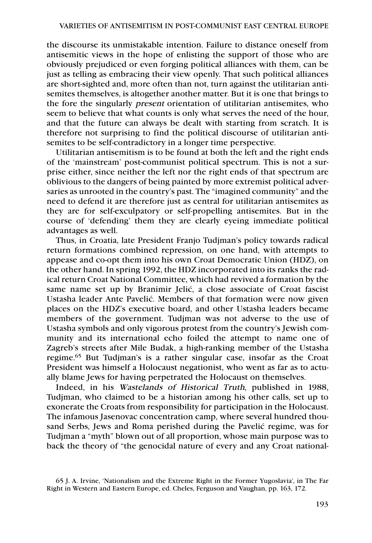the discourse its unmistakable intention. Failure to distance oneself from antisemitic views in the hope of enlisting the support of those who are obviously prejudiced or even forging political alliances with them, can be just as telling as embracing their view openly. That such political alliances are short-sighted and, more often than not, turn against the utilitarian antisemites themselves, is altogether another matter. But it is one that brings to the fore the singularly present orientation of utilitarian antisemites, who seem to believe that what counts is only what serves the need of the hour, and that the future can always be dealt with starting from scratch. It is therefore not surprising to find the political discourse of utilitarian antisemites to be self-contradictory in a longer time perspective.

Utilitarian antisemitism is to be found at both the left and the right ends of the 'mainstream' post-communist political spectrum. This is not a surprise either, since neither the left nor the right ends of that spectrum are oblivious to the dangers of being painted by more extremist political adversaries as unrooted in the country's past. The "imagined community" and the need to defend it are therefore just as central for utilitarian antisemites as they are for self-exculpatory or self-propelling antisemites. But in the course of 'defending' them they are clearly eyeing immediate political advantages as well.

Thus, in Croatia, late President Franjo Tudjman's policy towards radical return formations combined repression, on one hand, with attempts to appease and co-opt them into his own Croat Democratic Union (HDZ), on the other hand. In spring 1992, the HDZ incorporated into its ranks the radical return Croat National Committee, which had revived a formation by the same name set up by Branimir Jelić, a close associate of Croat fascist Ustasha leader Ante Pavelić. Members of that formation were now given places on the HDZ's executive board, and other Ustasha leaders became members of the government. Tudjman was not adverse to the use of Ustasha symbols and only vigorous protest from the country's Jewish community and its international echo foiled the attempt to name one of Zagreb's streets after Mile Budak, a high-ranking member of the Ustasha regime.65 But Tudjman's is a rather singular case, insofar as the Croat President was himself a Holocaust negationist, who went as far as to actually blame Jews for having perpetrated the Holocaust on themselves.

Indeed, in his Wastelands of Historical Truth, published in 1988, Tudjman, who claimed to be a historian among his other calls, set up to exonerate the Croats from responsibility for participation in the Holocaust. The infamous Jasenovac concentration camp, where several hundred thousand Serbs, Jews and Roma perished during the Pavelić regime, was for Tudjman a "myth" blown out of all proportion, whose main purpose was to back the theory of "the genocidal nature of every and any Croat national-

<sup>65</sup> J. A. Irvine, 'Nationalism and the Extreme Right in the Former Yugoslavia', in The Far Right in Western and Eastern Europe, ed. Cheles, Ferguson and Vaughan, pp. 163, 172.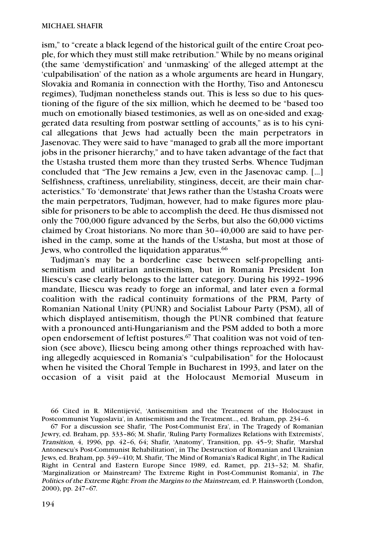ism," to "create a black legend of the historical guilt of the entire Croat people, for which they must still make retribution." While by no means original (the same 'demystification' and 'unmasking' of the alleged attempt at the 'culpabilisation' of the nation as a whole arguments are heard in Hungary, Slovakia and Romania in connection with the Horthy, Tiso and Antonescu regimes), Tudjman nonetheless stands out. This is less so due to his questioning of the figure of the six million, which he deemed to be "based too much on emotionally biased testimonies, as well as on one-sided and exaggerated data resulting from postwar settling of accounts," as is to his cynical allegations that Jews had actually been the main perpetrators in Jasenovac. They were said to have "managed to grab all the more important jobs in the prisoner hierarchy," and to have taken advantage of the fact that the Ustasha trusted them more than they trusted Serbs. Whence Tudjman concluded that "The Jew remains a Jew, even in the Jasenovac camp. […] Selfishness, craftiness, unreliability, stinginess, deceit, are their main characteristics." To 'demonstrate' that Jews rather than the Ustasha Croats were the main perpetrators, Tudjman, however, had to make figures more plausible for prisoners to be able to accomplish the deed. He thus dismissed not only the 700,000 figure advanced by the Serbs, but also the 60,000 victims claimed by Croat historians. No more than 30–40,000 are said to have perished in the camp, some at the hands of the Ustasha, but most at those of Jews, who controlled the liquidation apparatus.<sup>66</sup>

Tudjman's may be a borderline case between self-propelling antisemitism and utilitarian antisemitism, but in Romania President Ion Iliescu's case clearly belongs to the latter category. During his 1992–1996 mandate, Iliescu was ready to forge an informal, and later even a formal coalition with the radical continuity formations of the PRM, Party of Romanian National Unity (PUNR) and Socialist Labour Party (PSM), all of which displayed antisemitism, though the PUNR combined that feature with a pronounced anti-Hungarianism and the PSM added to both a more open endorsement of leftist postures.<sup>67</sup> That coalition was not void of tension (see above), Iliescu being among other things reproached with having allegedly acquiesced in Romania's "culpabilisation" for the Holocaust when he visited the Choral Temple in Bucharest in 1993, and later on the occasion of a visit paid at the Holocaust Memorial Museum in

66 Cited in R. Milentijević, 'Antisemitism and the Treatment of the Holocaust in Postcommunist Yugoslavia', in Antisemitism and the Treatment…, ed. Braham, pp. 234–6.

67 For a discussion see Shafir, 'The Post-Communist Era', in The Tragedy of Romanian Jewry, ed. Braham, pp. 333–86; M. Shafir, 'Ruling Party Formalizes Relations with Extremists', Transition, 4, 1996, pp. 42–6, 64; Shafir, 'Anatomy', Transition, pp. 45–9; Shafir, 'Marshal Antonescu's Post-Communist Rehabilitation', in The Destruction of Romanian and Ukrainian Jews, ed. Braham, pp. 349–410; M. Shafir, 'The Mind of Romania's Radical Right', in The Radical Right in Central and Eastern Europe Since 1989, ed. Ramet, pp. 213–32; M. Shafir, 'Marginalization or Mainstream? The Extreme Right in Post-Communist Romania', in The Politics of the Extreme Right: From the Margins to the Mainstream, ed. P. Hainsworth (London, 2000), pp. 247–67.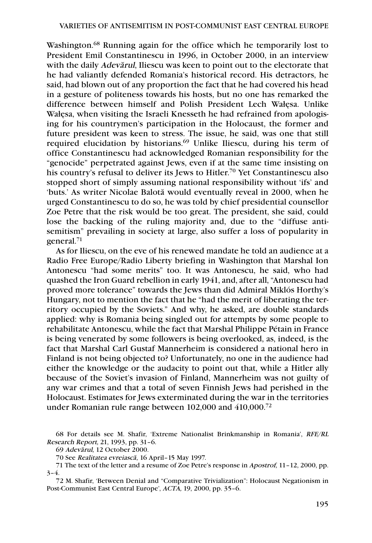Washington.68 Running again for the office which he temporarily lost to President Emil Constantinescu in 1996, in October 2000, in an interview with the daily *Adevãrul*, Iliescu was keen to point out to the electorate that he had valiantly defended Romania's historical record. His detractors, he said, had blown out of any proportion the fact that he had covered his head in a gesture of politeness towards his hosts, but no one has remarked the difference between himself and Polish President Lech Wałęsa. Unlike Wałęsa, when visiting the Israeli Knesseth he had refrained from apologising for his countrymen's participation in the Holocaust, the former and future president was keen to stress. The issue, he said, was one that still required elucidation by historians.69 Unlike Iliescu, during his term of office Constantinescu had acknowledged Romanian responsibility for the "genocide" perpetrated against Jews, even if at the same time insisting on his country's refusal to deliver its Jews to Hitler. <sup>70</sup> Yet Constantinescu also stopped short of simply assuming national responsibility without 'ifs' and 'buts.' As writer Nicolae Balota˘ would eventually reveal in 2000, when he urged Constantinescu to do so, he was told by chief presidential counsellor Zoe Petre that the risk would be too great. The president, she said, could lose the backing of the ruling majority and, due to the "diffuse antisemitism" prevailing in society at large, also suffer a loss of popularity in general.71

As for Iliescu, on the eve of his renewed mandate he told an audience at a Radio Free Europe/Radio Liberty briefing in Washington that Marshal Ion Antonescu "had some merits" too. It was Antonescu, he said, who had quashed the Iron Guard rebellion in early 1941, and, after all, "Antonescu had proved more tolerance" towards the Jews than did Admiral Miklós Horthy's Hungary, not to mention the fact that he "had the merit of liberating the territory occupied by the Soviets." And why, he asked, are double standards applied: why is Romania being singled out for attempts by some people to rehabilitate Antonescu, while the fact that Marshal Philippe Pétain in France is being venerated by some followers is being overlooked, as, indeed, is the fact that Marshal Carl Gustaf Mannerheim is considered a national hero in Finland is not being objected to? Unfortunately, no one in the audience had either the knowledge or the audacity to point out that, while a Hitler ally because of the Soviet's invasion of Finland, Mannerheim was not guilty of any war crimes and that a total of seven Finnish Jews had perished in the Holocaust. Estimates for Jews exterminated during the war in the territories under Romanian rule range between 102,000 and 410,000.72

<sup>68</sup> For details see M. Shafir, 'Extreme Nationalist Brinkmanship in Romania', RFE/RL Research Report, 21, 1993, pp. 31–6.

<sup>69</sup> Adeva*˘*rul, 12 October 2000.

<sup>70</sup> See Realitatea evreiasca*˘*, 16 April–15 May 1997.

<sup>71</sup> The text of the letter and a resume of Zoe Petre's response in Apostrof, 11–12, 2000, pp.  $3-4.$ 

<sup>72</sup> M. Shafir, 'Between Denial and "Comparative Trivialization": Holocaust Negationism in Post-Communist East Central Europe', ACTA, 19, 2000, pp. 35–6.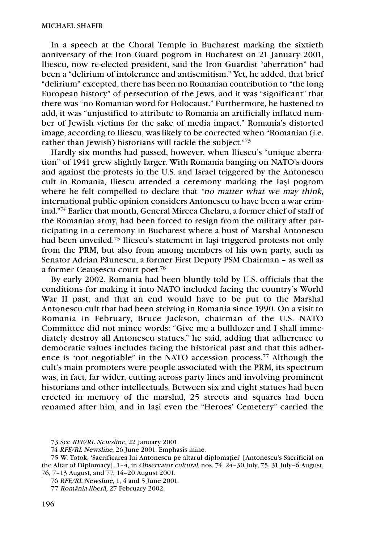In a speech at the Choral Temple in Bucharest marking the sixtieth anniversary of the Iron Guard pogrom in Bucharest on 21 January 2001, Iliescu, now re-elected president, said the Iron Guardist "aberration" had been a "delirium of intolerance and antisemitism." Yet, he added, that brief "delirium" excepted, there has been no Romanian contribution to "the long European history" of persecution of the Jews, and it was "significant" that there was "no Romanian word for Holocaust." Furthermore, he hastened to add, it was "unjustified to attribute to Romania an artificially inflated number of Jewish victims for the sake of media impact." Romania's distorted image, according to Iliescu, was likely to be corrected when "Romanian (i.e. rather than Jewish) historians will tackle the subject."<sup>73</sup>

Hardly six months had passed, however, when Iliescu's "unique aberration" of 1941 grew slightly larger. With Romania banging on NATO's doors and against the protests in the U.S. and Israel triggered by the Antonescu cult in Romania, Iliescu attended a ceremony marking the Iaşi pogrom where he felt compelled to declare that "no matter what we may think, international public opinion considers Antonescu to have been a war criminal."74 Earlier that month, General Mircea Chelaru, a former chief of staff of the Romanian army, had been forced to resign from the military after participating in a ceremony in Bucharest where a bust of Marshal Antonescu had been unveiled.75 Iliescu's statement in Iaşi triggered protests not only from the PRM, but also from among members of his own party, such as Senator Adrian Păunescu, a former First Deputy PSM Chairman - as well as a former Ceauşescu court poet.76

By early 2002, Romania had been bluntly told by U.S. officials that the conditions for making it into NATO included facing the country's World War II past, and that an end would have to be put to the Marshal Antonescu cult that had been striving in Romania since 1990. On a visit to Romania in February, Bruce Jackson, chairman of the U.S. NATO Committee did not mince words: "Give me a bulldozer and I shall immediately destroy all Antonescu statues," he said, adding that adherence to democratic values includes facing the historical past and that this adherence is "not negotiable" in the NATO accession process.77 Although the cult's main promoters were people associated with the PRM, its spectrum was, in fact, far wider, cutting across party lines and involving prominent historians and other intellectuals. Between six and eight statues had been erected in memory of the marshal, 25 streets and squares had been renamed after him, and in Iaşi even the "Heroes' Cemetery" carried the

<sup>73</sup> See RFE/RL Newsline, 22 January 2001.

<sup>74</sup> RFE/RL Newsline, 26 June 2001. Emphasis mine.

<sup>75</sup> W. Totok, 'Sacrificarea lui Antonescu pe altarul diplomaţiei' [Antonescu's Sacrificial on the Altar of Diplomacy], 1–4, in Observator cultural, nos. 74, 24–30 July, 75, 31 July–6 August, 76, 7–13 August, and 77, 14–20 August 2001.

<sup>76</sup> RFE/RL Newsline, 1, 4 and 5 June 2001.

<sup>77</sup> România libera*˘*, 27 February 2002.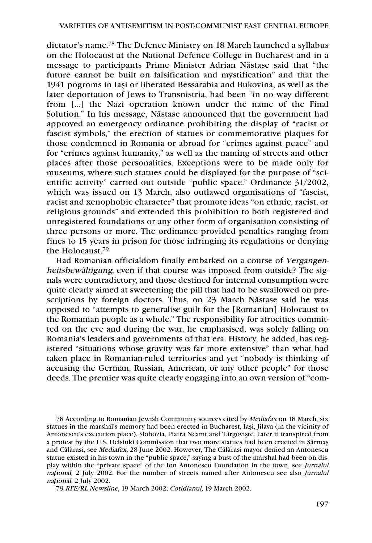dictator's name.78 The Defence Ministry on 18 March launched a syllabus on the Holocaust at the National Defence College in Bucharest and in a message to participants Prime Minister Adrian Năstase said that "the future cannot be built on falsification and mystification" and that the 1941 pogroms in Iaşi or liberated Bessarabia and Bukovina, as well as the later deportation of Jews to Transnistria, had been "in no way different from […] the Nazi operation known under the name of the Final Solution." In his message, Năstase announced that the government had approved an emergency ordinance prohibiting the display of "racist or fascist symbols," the erection of statues or commemorative plaques for those condemned in Romania or abroad for "crimes against peace" and for "crimes against humanity," as well as the naming of streets and other places after those personalities. Exceptions were to be made only for museums, where such statues could be displayed for the purpose of "scientific activity" carried out outside "public space." Ordinance 31/2002, which was issued on 13 March, also outlawed organisations of "fascist, racist and xenophobic character" that promote ideas "on ethnic, racist, or religious grounds" and extended this prohibition to both registered and unregistered foundations or any other form of organisation consisting of three persons or more. The ordinance provided penalties ranging from fines to 15 years in prison for those infringing its regulations or denying the Holocaust.79

Had Romanian officialdom finally embarked on a course of Vergangenheitsbewältigung, even if that course was imposed from outside? The signals were contradictory, and those destined for internal consumption were quite clearly aimed at sweetening the pill that had to be swallowed on prescriptions by foreign doctors. Thus, on 23 March Năstase said he was opposed to "attempts to generalise guilt for the [Romanian] Holocaust to the Romanian people as a whole." The responsibility for atrocities committed on the eve and during the war, he emphasised, was solely falling on Romania's leaders and governments of that era. History, he added, has registered "situations whose gravity was far more extensive" than what had taken place in Romanian-ruled territories and yet "nobody is thinking of accusing the German, Russian, American, or any other people" for those deeds. The premier was quite clearly engaging into an own version of "com-

78 According to Romanian Jewish Community sources cited by Mediafax on 18 March, six statues in the marshal's memory had been erected in Bucharest, Iaşi, Jilava (in the vicinity of Antonescu's execution place), Slobozia, Piatra Neamţ and Târgovişte. Later it transpired from a protest by the U.S. Helsinki Commission that two more statues had been erected in Sărmaş and Călărasi, see Mediafax, 28 June 2002. However, The Călărasi mayor denied an Antonescu statue existed in his town in the "public space," saying a bust of the marshal had been on display within the "private space" of the Ion Antonescu Foundation in the town, see Jurnalul na*ţ*ional, 2 July 2002. For the number of streets named after Antonescu see also Jurnalul na*ţ*ional, 2 July 2002.

79 RFE/RL Newsline, 19 March 2002; Cotidianul, 19 March 2002.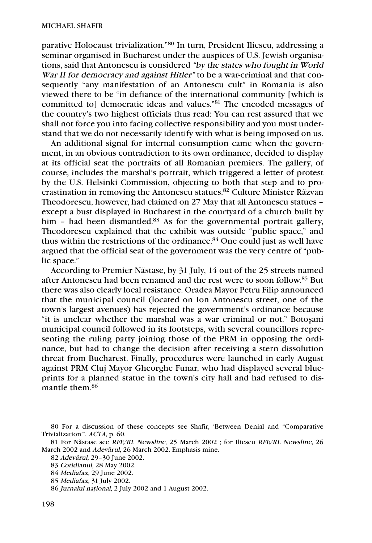parative Holocaust trivialization."80 In turn, President Iliescu, addressing a seminar organised in Bucharest under the auspices of U.S. Jewish organisations, said that Antonescu is considered "by the states who fought in World War II for democracy and against Hitler" to be a war-criminal and that consequently "any manifestation of an Antonescu cult" in Romania is also viewed there to be "in defiance of the international community [which is committed to] democratic ideas and values."81 The encoded messages of the country's two highest officials thus read: You can rest assured that we shall not force you into facing collective responsibility and you must understand that we do not necessarily identify with what is being imposed on us.

An additional signal for internal consumption came when the government, in an obvious contradiction to its own ordinance, decided to display at its official seat the portraits of all Romanian premiers. The gallery, of course, includes the marshal's portrait, which triggered a letter of protest by the U.S. Helsinki Commission, objecting to both that step and to procrastination in removing the Antonescu statues.<sup>82</sup> Culture Minister Răzvan Theodorescu, however, had claimed on 27 May that all Antonescu statues – except a bust displayed in Bucharest in the courtyard of a church built by him - had been dismantled.<sup>83</sup> As for the governmental portrait gallery, Theodorescu explained that the exhibit was outside "public space," and thus within the restrictions of the ordinance. $84$  One could just as well have argued that the official seat of the government was the very centre of "public space."

According to Premier Năstase, by 31 July, 14 out of the 25 streets named after Antonescu had been renamed and the rest were to soon follow. <sup>85</sup> But there was also clearly local resistance. Oradea Mayor Petru Filip announced that the municipal council (located on Ion Antonescu street, one of the town's largest avenues) has rejected the government's ordinance because "it is unclear whether the marshal was a war criminal or not." Botoşani municipal council followed in its footsteps, with several councillors representing the ruling party joining those of the PRM in opposing the ordinance, but had to change the decision after receiving a stern dissolution threat from Bucharest. Finally, procedures were launched in early August against PRM Cluj Mayor Gheorghe Funar, who had displayed several blueprints for a planned statue in the town's city hall and had refused to dismantle them.86

<sup>80</sup> For a discussion of these concepts see Shafir, 'Between Denial and "Comparative Trivialization"', ACTA, p. 60.

<sup>81</sup> For Năstase see RFE/RL Newsline, 25 March 2002 ; for Iliescu RFE/RL Newsline, 26 March 2002 and *Adevărul*, 26 March 2002. Emphasis mine.

<sup>82</sup> Adeva*˘*rul, 29–30 June 2002.

<sup>83</sup> Cotidianul, 28 May 2002.

<sup>84</sup> Mediafax, 29 June 2002.

<sup>85</sup> Mediafax, 31 July 2002.

<sup>86</sup> Jurnalul na*ţ*ional, 2 July 2002 and 1 August 2002.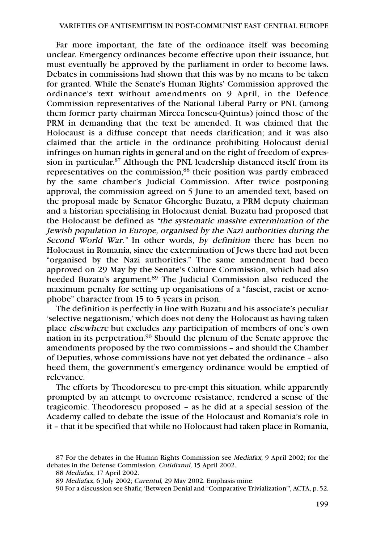Far more important, the fate of the ordinance itself was becoming unclear. Emergency ordinances become effective upon their issuance, but must eventually be approved by the parliament in order to become laws. Debates in commissions had shown that this was by no means to be taken for granted. While the Senate's Human Rights' Commission approved the ordinance's text without amendments on 9 April, in the Defence Commission representatives of the National Liberal Party or PNL (among them former party chairman Mircea Ionescu-Quintus) joined those of the PRM in demanding that the text be amended. It was claimed that the Holocaust is a diffuse concept that needs clarification; and it was also claimed that the article in the ordinance prohibiting Holocaust denial infringes on human rights in general and on the right of freedom of expression in particular. <sup>87</sup> Although the PNL leadership distanced itself from its representatives on the commission,<sup>88</sup> their position was partly embraced by the same chamber's Judicial Commission. After twice postponing approval, the commission agreed on 5 June to an amended text, based on the proposal made by Senator Gheorghe Buzatu, a PRM deputy chairman and a historian specialising in Holocaust denial. Buzatu had proposed that the Holocaust be defined as "the systematic massive extermination of the Jewish population in Europe, organised by the Nazi authorities during the Second World War." In other words, by definition there has been no Holocaust in Romania, since the extermination of Jews there had not been "organised by the Nazi authorities." The same amendment had been approved on 29 May by the Senate's Culture Commission, which had also heeded Buzatu's argument.<sup>89</sup> The Judicial Commission also reduced the maximum penalty for setting up organisations of a "fascist, racist or xenophobe" character from 15 to 5 years in prison.

The definition is perfectly in line with Buzatu and his associate's peculiar 'selective negationism,' which does not deny the Holocaust as having taken place elsewhere but excludes any participation of members of one's own nation in its perpetration.<sup>90</sup> Should the plenum of the Senate approve the amendments proposed by the two commissions – and should the Chamber of Deputies, whose commissions have not yet debated the ordinance – also heed them, the government's emergency ordinance would be emptied of relevance.

The efforts by Theodorescu to pre-empt this situation, while apparently prompted by an attempt to overcome resistance, rendered a sense of the tragicomic. Theodorescu proposed – as he did at a special session of the Academy called to debate the issue of the Holocaust and Romania's role in it – that it be specified that while no Holocaust had taken place in Romania,

<sup>87</sup> For the debates in the Human Rights Commission see Mediafax, 9 April 2002; for the debates in the Defense Commission, Cotidianul, 15 April 2002.

<sup>88</sup> Mediafax, 17 April 2002.

<sup>89</sup> Mediafax, 6 July 2002; Curentul, 29 May 2002. Emphasis mine.

<sup>90</sup> For a discussion see Shafir, 'Between Denial and "Comparative Trivialization"', ACTA, p. 52.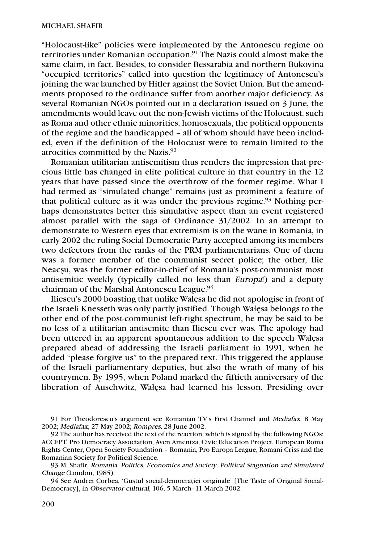"Holocaust-like" policies were implemented by the Antonescu regime on territories under Romanian occupation.<sup>91</sup> The Nazis could almost make the same claim, in fact. Besides, to consider Bessarabia and northern Bukovina "occupied territories" called into question the legitimacy of Antonescu's joining the war launched by Hitler against the Soviet Union. But the amendments proposed to the ordinance suffer from another major deficiency. As several Romanian NGOs pointed out in a declaration issued on 3 June, the amendments would leave out the non-Jewish victims of the Holocaust, such as Roma and other ethnic minorities, homosexuals, the political opponents of the regime and the handicapped – all of whom should have been included, even if the definition of the Holocaust were to remain limited to the atrocities committed by the Nazis. $92$ 

Romanian utilitarian antisemitism thus renders the impression that precious little has changed in elite political culture in that country in the 12 years that have passed since the overthrow of the former regime. What I had termed as "simulated change" remains just as prominent a feature of that political culture as it was under the previous regime.<sup>93</sup> Nothing perhaps demonstrates better this simulative aspect than an event registered almost parallel with the saga of Ordinance 31/2002. In an attempt to demonstrate to Western eyes that extremism is on the wane in Romania, in early 2002 the ruling Social Democratic Party accepted among its members two defectors from the ranks of the PRM parliamentarians. One of them was a former member of the communist secret police; the other, Ilie Neacşu, was the former editor-in-chief of Romania's post-communist most antisemitic weekly (typically called no less than Europa!) and a deputy chairman of the Marshal Antonescu League.94

Iliescu's 2000 boasting that unlike Wałęsa he did not apologise in front of the Israeli Knesseth was only partly justified. Though Wałęsa belongs to the other end of the post-communist left-right spectrum, he may be said to be no less of a utilitarian antisemite than Iliescu ever was. The apology had been uttered in an apparent spontaneous addition to the speech Wałęsa prepared ahead of addressing the Israeli parliament in 1991, when he added "please forgive us" to the prepared text. This triggered the applause of the Israeli parliamentary deputies, but also the wrath of many of his countrymen. By 1995, when Poland marked the fiftieth anniversary of the liberation of Auschwitz, Wałęsa had learned his lesson. Presiding over

<sup>91</sup> For Theodorescu's argument see Romanian TV's First Channel and Mediafax, 8 May 2002; Mediafax, 27 May 2002; Rompres, 28 June 2002.

<sup>92</sup> The author has received the text of the reaction, which is signed by the following NGOs: ACCEPT, Pro Democracy Association, Aven Amentza, Civic Education Project, European Roma Rights Center, Open Society Foundation – Romania, Pro Europa League, Romani Criss and the Romanian Society for Political Science.

<sup>93</sup> M. Shafir, Romania. Politics, Economics and Society. Political Stagnation and Simulated Change (London, 1985).

<sup>94</sup> See Andrei Corbea, 'Gustul social-democraţiei originale' [The Taste of Original Social-Democracy], in Observator cultural, 106, 5 March–11 March 2002.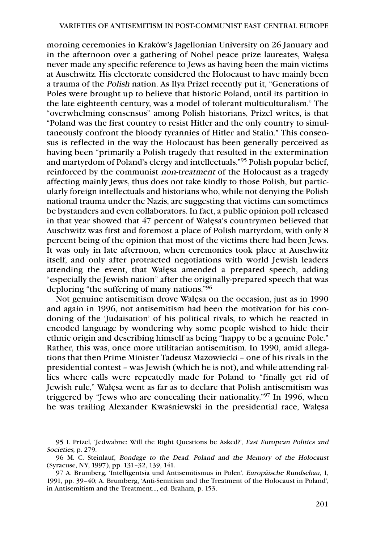morning ceremonies in Kraków's Jagellonian University on 26 January and in the afternoon over a gathering of Nobel peace prize laureates, Wałęsa never made any specific reference to Jews as having been the main victims at Auschwitz. His electorate considered the Holocaust to have mainly been a trauma of the Polish nation. As Ilya Prizel recently put it, "Generations of Poles were brought up to believe that historic Poland, until its partition in the late eighteenth century, was a model of tolerant multiculturalism." The "overwhelming consensus" among Polish historians, Prizel writes, is that "Poland was the first country to resist Hitler and the only country to simultaneously confront the bloody tyrannies of Hitler and Stalin." This consensus is reflected in the way the Holocaust has been generally perceived as having been "primarily a Polish tragedy that resulted in the extermination and martyrdom of Poland's clergy and intellectuals."95 Polish popular belief, reinforced by the communist non-treatment of the Holocaust as a tragedy affecting mainly Jews, thus does not take kindly to those Polish, but particularly foreign intellectuals and historians who, while not denying the Polish national trauma under the Nazis, are suggesting that victims can sometimes be bystanders and even collaborators. In fact, a public opinion poll released in that year showed that 47 percent of Wałęsa's countrymen believed that Auschwitz was first and foremost a place of Polish martyrdom, with only 8 percent being of the opinion that most of the victims there had been Jews. It was only in late afternoon, when ceremonies took place at Auschwitz itself, and only after protracted negotiations with world Jewish leaders attending the event, that Wałęsa amended a prepared speech, adding "especially the Jewish nation" after the originally-prepared speech that was deploring "the suffering of many nations."96

Not genuine antisemitism drove Wałęsa on the occasion, just as in 1990 and again in 1996, not antisemitism had been the motivation for his condoning of the 'Judaisation' of his political rivals, to which he reacted in encoded language by wondering why some people wished to hide their ethnic origin and describing himself as being "happy to be a genuine Pole." Rather, this was, once more utilitarian antisemitism. In 1990, amid allegations that then Prime Minister Tadeusz Mazowiecki – one of his rivals in the presidential contest – was Jewish (which he is not), and while attending rallies where calls were repeatedly made for Poland to "finally get rid of Jewish rule," Wałęsa went as far as to declare that Polish antisemitism was triggered by "Jews who are concealing their nationality."97 In 1996, when he was trailing Alexander Kwaśniewski in the presidential race, Wałęsa

<sup>95</sup> I. Prizel, 'Jedwabne: Will the Right Questions be Asked?', East European Politics and Societies, p. 279.

<sup>96</sup> M. C. Steinlauf, Bondage to the Dead. Poland and the Memory of the Holocaust (Syracuse, NY, 1997), pp. 131–32, 139, 141.

<sup>97</sup> A. Brumberg, 'Intelligentsia und Antisemitismus in Polen', Europäische Rundschau, 1, 1991, pp. 39–40; A. Brumberg, 'Anti-Semitism and the Treatment of the Holocaust in Poland', in Antisemitism and the Treatment…, ed. Braham, p. 153.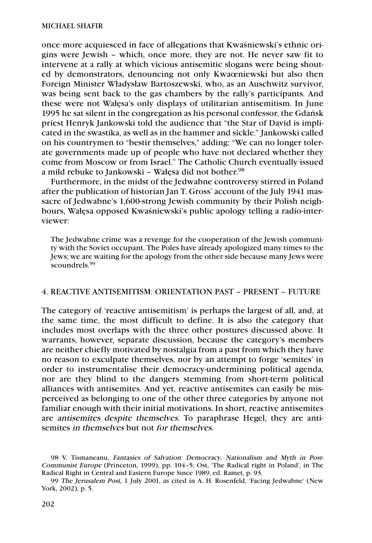once more acquiesced in face of allegations that Kwaśniewski's ethnic origins were Jewish – which, once more, they are not. He never saw fit to intervene at a rally at which vicious antisemitic slogans were being shouted by demonstrators, denouncing not only Kwaœniewski but also then Foreign Minister Władysław Bartoszewski, who, as an Auschwitz survivor, was being sent back to the gas chambers by the rally's participants. And these were not Wałęsa's only displays of utilitarian antisemitism. In June 1995 he sat silent in the congregation as his personal confessor, the Gdańsk priest Henryk Jankowski told the audience that "the Star of David is implicated in the swastika, as well as in the hammer and sickle." Jankowski called on his countrymen to "bestir themselves," adding: "We can no longer tolerate governments made up of people who have not declared whether they come from Moscow or from Israel." The Catholic Church eventually issued a mild rebuke to Jankowski – Wałęsa did not bother. 98

Furthermore, in the midst of the Jedwabne controversy stirred in Poland after the publication of historian Jan T. Gross' account of the July 1941 massacre of Jedwabne's 1,600-strong Jewish community by their Polish neighbours, Wałęsa opposed Kwaśniewski's public apology telling a radio-interviewer:

The Jedwabne crime was a revenge for the cooperation of the Jewish community with the Soviet occupant. The Poles have already apologized many times to the Jews; we are waiting for the apology from the other side because many Jews were scoundrels.<sup>99</sup>

## 4. REACTIVE ANTISEMITISM: ORIENTATION PAST – PRESENT – FUTURE

The category of 'reactive antisemitism' is perhaps the largest of all, and, at the same time, the most difficult to define. It is also the category that includes most overlaps with the three other postures discussed above. It warrants, however, separate discussion, because the category's members are neither chiefly motivated by nostalgia from a past from which they have no reason to exculpate themselves, nor by an attempt to forge 'semites' in order to instrumentalise their democracy-undermining political agenda, nor are they blind to the dangers stemming from short-term political alliances with antisemites. And yet, reactive antisemites can easily be misperceived as belonging to one of the other three categories by anyone not familiar enough with their initial motivations. In short, reactive antisemites are antisemites despite themselves. To paraphrase Hegel, they are antisemites in themselves but not for themselves.

<sup>98</sup> V. Tismaneanu, Fantasies of Salvation: Democracy, Nationalism and Myth in Post-Communist Europe (Princeton, 1999), pp. 104–5; Ost, 'The Radical right in Poland', in The Radical Right in Central and Eastern Europe Since 1989, ed. Ramet, p. 93.

<sup>99</sup> The Jerusalem Post, 1 July 2001, as cited in A. H. Rosenfeld, 'Facing Jedwabne' (New York, 2002), p. 5.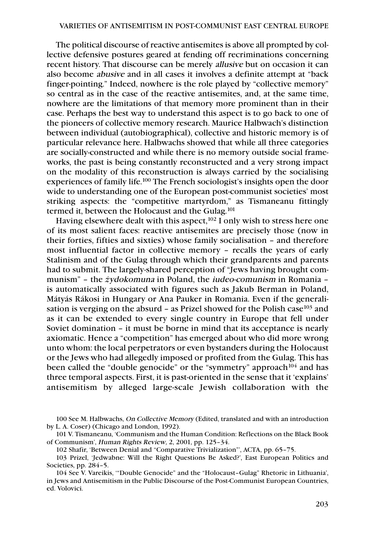The political discourse of reactive antisemites is above all prompted by collective defensive postures geared at fending off recriminations concerning recent history. That discourse can be merely allusive but on occasion it can also become abusive and in all cases it involves a definite attempt at "back finger-pointing." Indeed, nowhere is the role played by "collective memory" so central as in the case of the reactive antisemites, and, at the same time, nowhere are the limitations of that memory more prominent than in their case. Perhaps the best way to understand this aspect is to go back to one of the pioneers of collective memory research. Maurice Halbwach's distinction between individual (autobiographical), collective and historic memory is of particular relevance here. Halbwachs showed that while all three categories are socially-constructed and while there is no memory outside social frameworks, the past is being constantly reconstructed and a very strong impact on the modality of this reconstruction is always carried by the socialising experiences of family life.100 The French sociologist's insights open the door wide to understanding one of the European post-communist societies' most striking aspects: the "competitive martyrdom," as Tismaneanu fittingly termed it, between the Holocaust and the Gulag.<sup>101</sup>

Having elsewhere dealt with this aspect, $102$  I only wish to stress here one of its most salient faces: reactive antisemites are precisely those (now in their forties, fifties and sixties) whose family socialisation – and therefore most influential factor in collective memory – recalls the years of early Stalinism and of the Gulag through which their grandparents and parents had to submit. The largely-shared perception of "Jews having brought communism" – the *ż*ydokomuna in Poland, the iudeo-comunism in Romania – is automatically associated with figures such as Jakub Berman in Poland, Mátyás Rákosi in Hungary or Ana Pauker in Romania. Even if the generalisation is verging on the absurd – as Prizel showed for the Polish case  $103$  and as it can be extended to every single country in Europe that fell under Soviet domination – it must be borne in mind that its acceptance is nearly axiomatic. Hence a "competition" has emerged about who did more wrong unto whom: the local perpetrators or even bystanders during the Holocaust or the Jews who had allegedly imposed or profited from the Gulag. This has been called the "double genocide" or the "symmetry" approach<sup>104</sup> and has three temporal aspects. First, it is past-oriented in the sense that it 'explains' antisemitism by alleged large-scale Jewish collaboration with the

<sup>100</sup> See M. Halbwachs, On Collective Memory (Edited, translated and with an introduction by L. A. Coser) (Chicago and London, 1992).

<sup>101</sup> V. Tismaneanu, 'Communism and the Human Condition: Reflections on the Black Book of Communism', Human Rights Review, 2, 2001, pp. 125–34.

<sup>102</sup> Shafir, 'Between Denial and "Comparative Trivialization"', ACTA, pp. 65–75.

<sup>103</sup> Prizel, 'Jedwabne: Will the Right Questions Be Asked?', East European Politics and Societies, pp. 284–5.

<sup>104</sup> See V. Vareikis, '"Double Genocide" and the "Holocaust–Gulag" Rhetoric in Lithuania', in Jews and Antisemitism in the Public Discourse of the Post-Communist European Countries, ed. Volovici.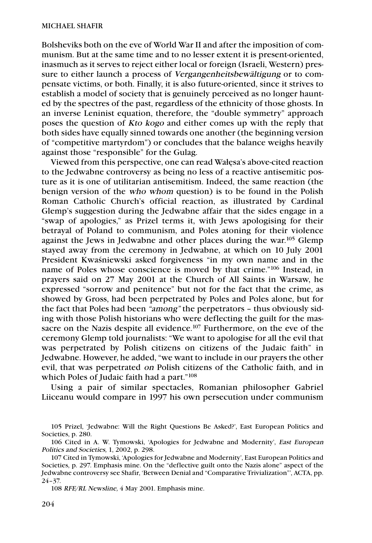Bolsheviks both on the eve of World War II and after the imposition of communism. But at the same time and to no lesser extent it is present-oriented, inasmuch as it serves to reject either local or foreign (Israeli, Western) pressure to either launch a process of Vergangenheitsbewältigung or to compensate victims, or both. Finally, it is also future-oriented, since it strives to establish a model of society that is genuinely perceived as no longer haunted by the spectres of the past, regardless of the ethnicity of those ghosts. In an inverse Leninist equation, therefore, the "double symmetry" approach poses the question of Kto kogo and either comes up with the reply that both sides have equally sinned towards one another (the beginning version of "competitive martyrdom") or concludes that the balance weighs heavily against those "responsible" for the Gulag.

Viewed from this perspective, one can read Wałęsa's above-cited reaction to the Jedwabne controversy as being no less of a reactive antisemitic posture as it is one of utilitarian antisemitism. Indeed, the same reaction (the benign version of the who whom question) is to be found in the Polish Roman Catholic Church's official reaction, as illustrated by Cardinal Glemp's suggestion during the Jedwabne affair that the sides engage in a "swap of apologies," as Prizel terms it, with Jews apologising for their betrayal of Poland to communism, and Poles atoning for their violence against the Jews in Jedwabne and other places during the war.<sup>105</sup> Glemp stayed away from the ceremony in Jedwabne, at which on 10 July 2001 President Kwaśniewski asked forgiveness "in my own name and in the name of Poles whose conscience is moved by that crime."106 Instead, in prayers said on 27 May 2001 at the Church of All Saints in Warsaw, he expressed "sorrow and penitence" but not for the fact that the crime, as showed by Gross, had been perpetrated by Poles and Poles alone, but for the fact that Poles had been "among" the perpetrators – thus obviously siding with those Polish historians who were deflecting the guilt for the massacre on the Nazis despite all evidence.<sup>107</sup> Furthermore, on the eve of the ceremony Glemp told journalists: "We want to apologise for all the evil that was perpetrated by Polish citizens on citizens of the Judaic faith" in Jedwabne. However, he added, "we want to include in our prayers the other evil, that was perpetrated on Polish citizens of the Catholic faith, and in which Poles of Judaic faith had a part."<sup>108</sup>

Using a pair of similar spectacles, Romanian philosopher Gabriel Liiceanu would compare in 1997 his own persecution under communism

<sup>105</sup> Prizel, 'Jedwabne: Will the Right Questions Be Asked?', East European Politics and Societies, p. 280.

<sup>106</sup> Cited in A. W. Tymowski, 'Apologies for Jedwabne and Modernity', East European Politics and Societies, 1, 2002, p. 298.

<sup>107</sup> Cited in Tymowski, 'Apologies for Jedwabne and Modernity', East European Politics and Societies, p. 297. Emphasis mine. On the "deflective guilt onto the Nazis alone" aspect of the Jedwabne controversy see Shafir, 'Between Denial and "Comparative Trivialization"', ACTA, pp. 24–37.

<sup>108</sup> RFE/RL Newsline, 4 May 2001. Emphasis mine.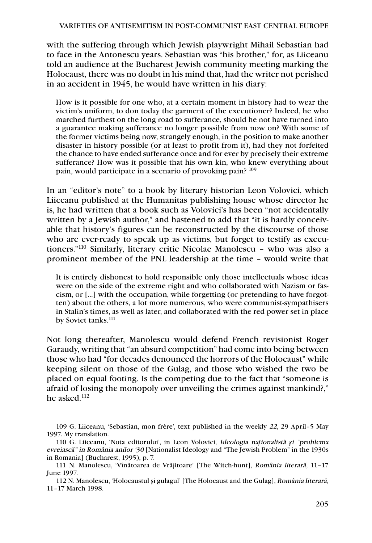with the suffering through which Jewish playwright Mihail Sebastian had to face in the Antonescu years. Sebastian was "his brother," for, as Liiceanu told an audience at the Bucharest Jewish community meeting marking the Holocaust, there was no doubt in his mind that, had the writer not perished in an accident in 1945, he would have written in his diary:

How is it possible for one who, at a certain moment in history had to wear the victim's uniform, to don today the garment of the executioner? Indeed, he who marched furthest on the long road to sufferance, should he not have turned into a guarantee making sufferance no longer possible from now on? With some of the former victims being now, strangely enough, in the position to make another disaster in history possible (or at least to profit from it), had they not forfeited the chance to have ended sufferance once and for ever by precisely their extreme sufferance? How was it possible that his own kin, who knew everything about pain, would participate in a scenario of provoking pain? 109

In an "editor's note" to a book by literary historian Leon Volovici, which Liiceanu published at the Humanitas publishing house whose director he is, he had written that a book such as Volovici's has been "not accidentally written by a Jewish author," and hastened to add that "it is hardly conceivable that history's figures can be reconstructed by the discourse of those who are ever-ready to speak up as victims, but forget to testify as executioners."110 Similarly, literary critic Nicolae Manolescu – who was also a prominent member of the PNL leadership at the time – would write that

It is entirely dishonest to hold responsible only those intellectuals whose ideas were on the side of the extreme right and who collaborated with Nazism or fascism, or […] with the occupation, while forgetting (or pretending to have forgotten) about the others, a lot more numerous, who were communist-sympathisers in Stalin's times, as well as later, and collaborated with the red power set in place by Soviet tanks.<sup>111</sup>

Not long thereafter, Manolescu would defend French revisionist Roger Garaudy, writing that "an absurd competition" had come into being between those who had "for decades denounced the horrors of the Holocaust" while keeping silent on those of the Gulag, and those who wished the two be placed on equal footing. Is the competing due to the fact that "someone is afraid of losing the monopoly over unveiling the crimes against mankind?," he asked.112

109 G. Liiceanu, 'Sebastian, mon frère', text published in the weekly 22, 29 April–5 May 1997. My translation.

112 N. Manolescu, 'Holocaustul şi gulagul' [The Holocaust and the Gulag], România literara*˘*, 11–17 March 1998.

<sup>110</sup> G. Liiceanu, 'Nota editorului', in Leon Volovici, Ideologia na*ţ*ionalista*˘ ş*i "problema evreiasca*˘*" în România anilor '30 [Nationalist Ideology and "The Jewish Problem" in the 1930s in Romania] (Bucharest, 1995), p. 7.

<sup>111</sup> N. Manolescu, 'Vînătoarea de Vrăjitoare' [The Witch-hunt], România literară, 11-17 June 1997.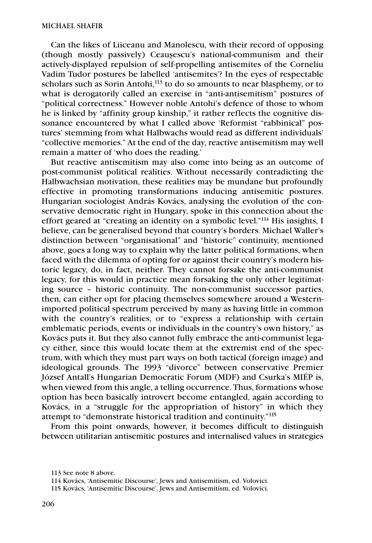Can the likes of Liiceanu and Manolescu, with their record of opposing (though mostly passively) Ceauşescu's national-communism and their actively-displayed repulsion of self-propelling antisemites of the Corneliu Vadim Tudor postures be labelled 'antisemites'? In the eyes of respectable scholars such as Sorin Antohi,<sup>113</sup> to do so amounts to near blasphemy, or to what is derogatorily called an exercise in "anti-antisemitism" postures of "political correctness." However noble Antohi's defence of those to whom he is linked by "affinity group kinship," it rather reflects the cognitive dissonance encountered by what I called above 'Reformist "rabbinical" postures' stemming from what Halbwachs would read as different individuals' "collective memories." At the end of the day, reactive antisemitism may well remain a matter of 'who does the reading.'

But reactive antisemitism may also come into being as an outcome of post-communist political realities. Without necessarily contradicting the Halbwachsian motivation, these realities may be mundane but profoundly effective in promoting transformations inducing antisemitic postures. Hungarian sociologist András Kovács, analysing the evolution of the conservative democratic right in Hungary, spoke in this connection about the effort geared at "creating an identity on a symbolic level."114 His insights, I believe, can be generalised beyond that country's borders. Michael Waller's distinction between "organisational" and "historic" continuity, mentioned above, goes a long way to explain why the latter political formations, when faced with the dilemma of opting for or against their country's modern historic legacy, do, in fact, neither. They cannot forsake the anti-communist legacy, for this would in practice mean forsaking the only other legitimating source – historic continuity. The non-communist successor parties, then, can either opt for placing themselves somewhere around a Westernimported political spectrum perceived by many as having little in common with the country's realities, or to "express a relationship with certain emblematic periods, events or individuals in the country's own history," as Kovács puts it. But they also cannot fully embrace the anti-communist legacy either, since this would locate them at the extremist end of the spectrum, with which they must part ways on both tactical (foreign image) and ideological grounds. The 1993 "divorce" between conservative Premier József Antall's Hungarian Democratic Forum (MDF) and Csurka's MIÉP is, when viewed from this angle, a telling occurrence. Thus, formations whose option has been basically introvert become entangled, again according to Kovács, in a "struggle for the appropriation of history" in which they attempt to "demonstrate historical tradition and continuity."115

From this point onwards, however, it becomes difficult to distinguish between utilitarian antisemitic postures and internalised values in strategies

<sup>113</sup> See note 8 above.

<sup>114</sup> Kovács, 'Antisemitic Discourse', Jews and Antisemitism, ed. Volovici.

<sup>115</sup> Kovács, 'Antisemitic Discourse', Jews and Antisemitism, ed. Volovici.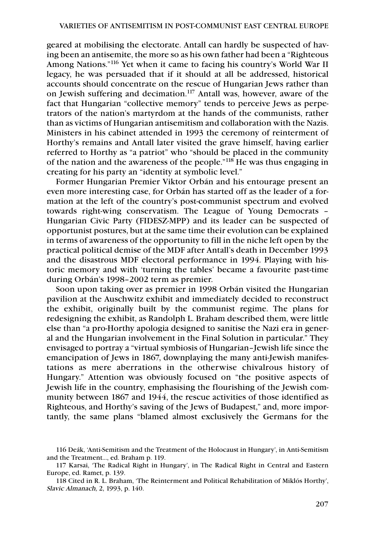geared at mobilising the electorate. Antall can hardly be suspected of having been an antisemite, the more so as his own father had been a "Righteous Among Nations."116 Yet when it came to facing his country's World War II legacy, he was persuaded that if it should at all be addressed, historical accounts should concentrate on the rescue of Hungarian Jews rather than on Jewish suffering and decimation.117 Antall was, however, aware of the fact that Hungarian "collective memory" tends to perceive Jews as perpetrators of the nation's martyrdom at the hands of the communists, rather than as victims of Hungarian antisemitism and collaboration with the Nazis. Ministers in his cabinet attended in 1993 the ceremony of reinterment of Horthy's remains and Antall later visited the grave himself, having earlier referred to Horthy as "a patriot" who "should be placed in the community of the nation and the awareness of the people."118 He was thus engaging in creating for his party an "identity at symbolic level."

Former Hungarian Premier Viktor Orbán and his entourage present an even more interesting case, for Orbán has started off as the leader of a formation at the left of the country's post-communist spectrum and evolved towards right-wing conservatism. The League of Young Democrats – Hungarian Civic Party (FIDESZ-MPP) and its leader can be suspected of opportunist postures, but at the same time their evolution can be explained in terms of awareness of the opportunity to fill in the niche left open by the practical political demise of the MDF after Antall's death in December 1993 and the disastrous MDF electoral performance in 1994. Playing with historic memory and with 'turning the tables' became a favourite past-time during Orbán's 1998–2002 term as premier.

Soon upon taking over as premier in 1998 Orbán visited the Hungarian pavilion at the Auschwitz exhibit and immediately decided to reconstruct the exhibit, originally built by the communist regime. The plans for redesigning the exhibit, as Randolph L. Braham described them, were little else than "a pro-Horthy apologia designed to sanitise the Nazi era in general and the Hungarian involvement in the Final Solution in particular." They envisaged to portray a "virtual symbiosis of Hungarian–Jewish life since the emancipation of Jews in 1867, downplaying the many anti-Jewish manifestations as mere aberrations in the otherwise chivalrous history of Hungary." Attention was obviously focused on "the positive aspects of Jewish life in the country, emphasising the flourishing of the Jewish community between 1867 and 1944, the rescue activities of those identified as Righteous, and Horthy's saving of the Jews of Budapest," and, more importantly, the same plans "blamed almost exclusively the Germans for the

<sup>116</sup> Deák, 'Anti-Semitism and the Treatment of the Holocaust in Hungary', in Anti-Semitism and the Treatment…, ed. Braham p. 119.

<sup>117</sup> Karsai, 'The Radical Right in Hungary', in The Radical Right in Central and Eastern Europe, ed. Ramet, p. 139.

<sup>118</sup> Cited in R. L. Braham, 'The Reinterment and Political Rehabilitation of Miklós Horthy', Slavic Almanach, 2, 1993, p. 140.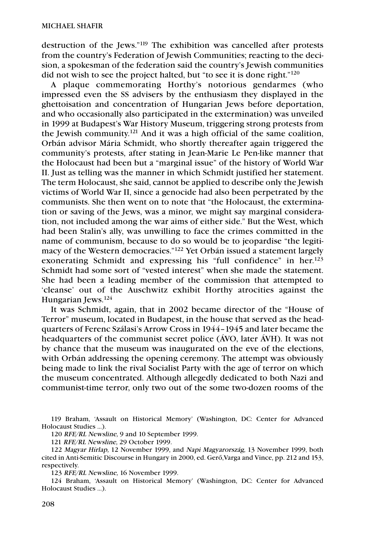destruction of the Jews."119 The exhibition was cancelled after protests from the country's Federation of Jewish Communities; reacting to the decision, a spokesman of the federation said the country's Jewish communities did not wish to see the project halted, but "to see it is done right."120

A plaque commemorating Horthy's notorious gendarmes (who impressed even the SS advisers by the enthusiasm they displayed in the ghettoisation and concentration of Hungarian Jews before deportation, and who occasionally also participated in the extermination) was unveiled in 1999 at Budapest's War History Museum, triggering strong protests from the Jewish community. <sup>121</sup> And it was a high official of the same coalition, Orbán advisor Mária Schmidt, who shortly thereafter again triggered the community's protests, after stating in Jean-Marie Le Pen-like manner that the Holocaust had been but a "marginal issue" of the history of World War II. Just as telling was the manner in which Schmidt justified her statement. The term Holocaust, she said, cannot be applied to describe only the Jewish victims of World War II, since a genocide had also been perpetrated by the communists. She then went on to note that "the Holocaust, the extermination or saving of the Jews, was a minor, we might say marginal consideration, not included among the war aims of either side." But the West, which had been Stalin's ally, was unwilling to face the crimes committed in the name of communism, because to do so would be to jeopardise "the legitimacy of the Western democracies."122 Yet Orbán issued a statement largely exonerating Schmidt and expressing his "full confidence" in her.<sup>123</sup> Schmidt had some sort of "vested interest" when she made the statement. She had been a leading member of the commission that attempted to 'cleanse' out of the Auschwitz exhibit Horthy atrocities against the Hungarian Jews.124

It was Schmidt, again, that in 2002 became director of the "House of Terror" museum, located in Budapest, in the house that served as the headquarters of Ferenc Szálasi's Arrow Cross in 1944–1945 and later became the headquarters of the communist secret police (ÁVO, later ÁVH). It was not by chance that the museum was inaugurated on the eve of the elections, with Orbán addressing the opening ceremony. The attempt was obviously being made to link the rival Socialist Party with the age of terror on which the museum concentrated. Although allegedly dedicated to both Nazi and communist-time terror, only two out of the some two-dozen rooms of the

119 Braham, 'Assault on Historical Memory' (Washington, DC: Center for Advanced Holocaust Studies …).

120 RFE/RL Newsline, 9 and 10 September 1999.

121 RFE/RL Newsline, 29 October 1999.

122 Magyar Hírlap, 12 November 1999, and Napi Magyarország, 13 November 1999, both cited in Anti-Semitic Discourse in Hungary in 2000, ed. Gerő,Varga and Vince, pp. 212 and 153, respectively.

123 RFE/RL Newsline, 16 November 1999.

124 Braham, 'Assault on Historical Memory' (Washington, DC: Center for Advanced Holocaust Studies …).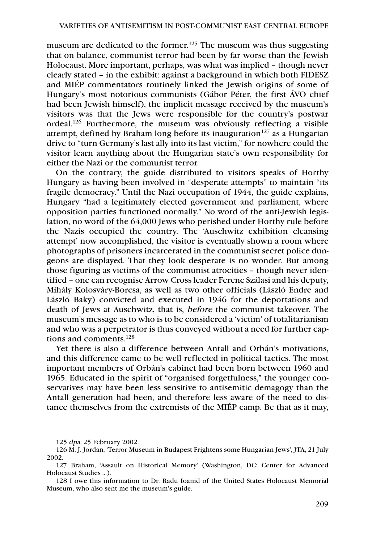museum are dedicated to the former.<sup>125</sup> The museum was thus suggesting that on balance, communist terror had been by far worse than the Jewish Holocaust. More important, perhaps, was what was implied – though never clearly stated – in the exhibit: against a background in which both FIDESZ and MIÉP commentators routinely linked the Jewish origins of some of Hungary's most notorious communists (Gábor Péter, the first ÁVO chief had been Jewish himself), the implicit message received by the museum's visitors was that the Jews were responsible for the country's postwar ordeal.126 Furthermore, the museum was obviously reflecting a visible attempt, defined by Braham long before its inauguration<sup>127</sup> as a Hungarian drive to "turn Germany's last ally into its last victim," for nowhere could the visitor learn anything about the Hungarian state's own responsibility for either the Nazi or the communist terror.

On the contrary, the guide distributed to visitors speaks of Horthy Hungary as having been involved in "desperate attempts" to maintain "its fragile democracy." Until the Nazi occupation of 1944, the guide explains, Hungary "had a legitimately elected government and parliament, where opposition parties functioned normally." No word of the anti-Jewish legislation, no word of the 64,000 Jews who perished under Horthy rule before the Nazis occupied the country. The 'Auschwitz exhibition cleansing attempt' now accomplished, the visitor is eventually shown a room where photographs of prisoners incarcerated in the communist secret police dungeons are displayed. That they look desperate is no wonder. But among those figuring as victims of the communist atrocities – though never identified – one can recognise Arrow Cross leader Ferenc Szálasi and his deputy, Mihály Kolosváry-Borcsa, as well as two other officials (László Endre and László Baky) convicted and executed in 1946 for the deportations and death of Jews at Auschwitz, that is, before the communist takeover. The museum's message as to who is to be considered a 'victim' of totalitarianism and who was a perpetrator is thus conveyed without a need for further captions and comments.128

Yet there is also a difference between Antall and Orbán's motivations, and this difference came to be well reflected in political tactics. The most important members of Orbán's cabinet had been born between 1960 and 1965. Educated in the spirit of "organised forgetfulness," the younger conservatives may have been less sensitive to antisemitic demagogy than the Antall generation had been, and therefore less aware of the need to distance themselves from the extremists of the MIÉP camp. Be that as it may,

<sup>125</sup> dpa, 25 February 2002.

<sup>126</sup> M. J. Jordan, 'Terror Museum in Budapest Frightens some Hungarian Jews', JTA, 21 July 2002.

<sup>127</sup> Braham, 'Assault on Historical Memory' (Washington, DC: Center for Advanced Holocaust Studies …).

<sup>128</sup> I owe this information to Dr. Radu Ioanid of the United States Holocaust Memorial Museum, who also sent me the museum's guide.